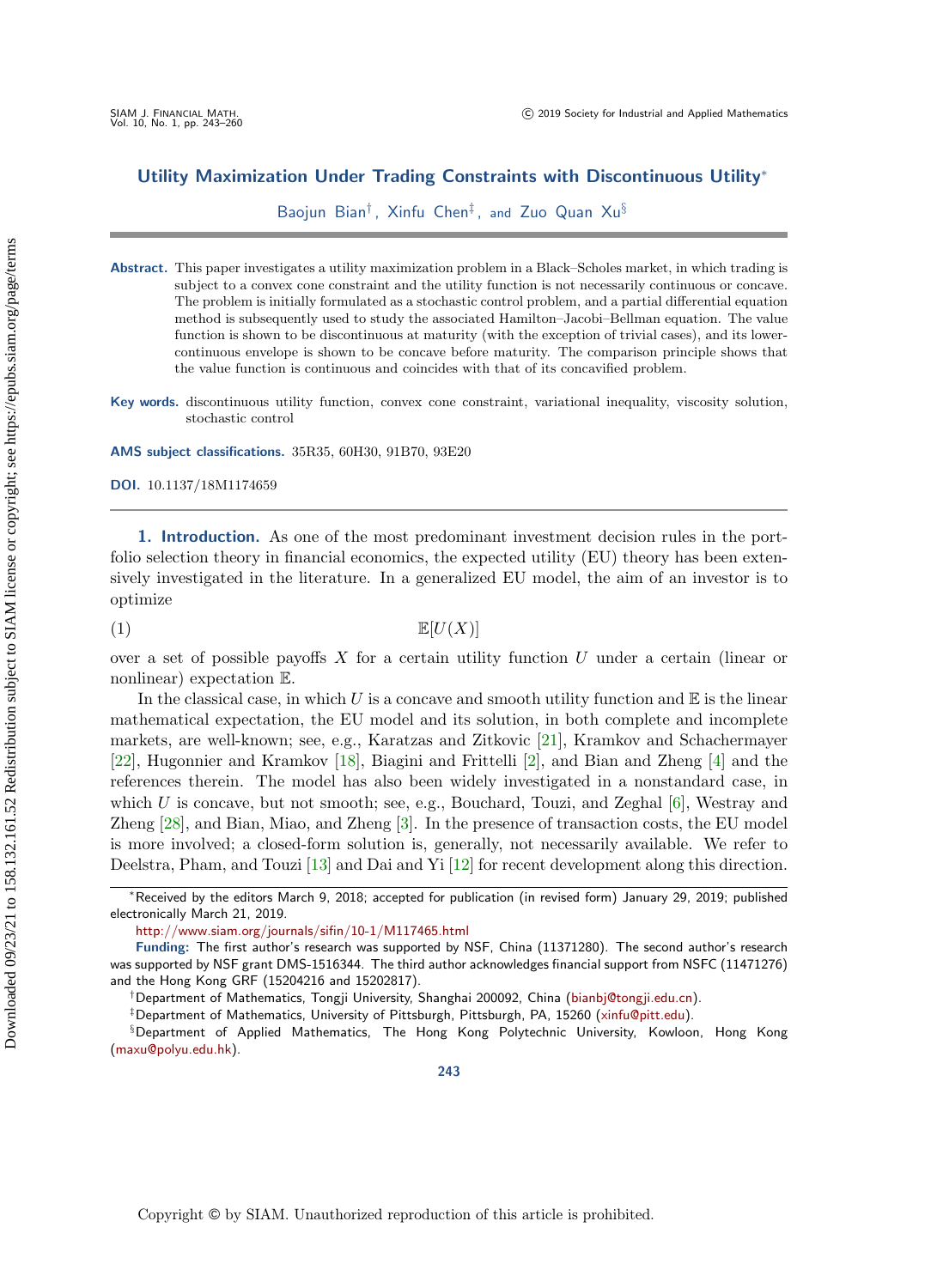# Utility Maximization Under Trading Constraints with Discontinuous Utility<sup>∗</sup>

Baojun Bian† , Xinfu Chen‡ , and Zuo Quan Xu§

Abstract. This paper investigates a utility maximization problem in a Black–Scholes market, in which trading is subject to a convex cone constraint and the utility function is not necessarily continuous or concave. The problem is initially formulated as a stochastic control problem, and a partial differential equation method is subsequently used to study the associated Hamilton–Jacobi–Bellman equation. The value function is shown to be discontinuous at maturity (with the exception of trivial cases), and its lowercontinuous envelope is shown to be concave before maturity. The comparison principle shows that the value function is continuous and coincides with that of its concavified problem.

Key words. discontinuous utility function, convex cone constraint, variational inequality, viscosity solution, stochastic control

AMS subject classifications. 35R35, 60H30, 91B70, 93E20

DOI. 10.1137/18M1174659

1. Introduction. As one of the most predominant investment decision rules in the portfolio selection theory in financial economics, the expected utility (EU) theory has been extensively investigated in the literature. In a generalized EU model, the aim of an investor is to optimize

<span id="page-0-0"></span>(1)  $\mathbb{E}[U(X)]$ 

over a set of possible payoffs  $X$  for a certain utility function  $U$  under a certain (linear or nonlinear) expectation E.

In the classical case, in which U is a concave and smooth utility function and  $\mathbb E$  is the linear mathematical expectation, the EU model and its solution, in both complete and incomplete markets, are well-known; see, e.g., Karatzas and Zitkovic [\[21\]](#page-16-0), Kramkov and Schachermayer [\[22\]](#page-16-1), Hugonnier and Kramkov [\[18\]](#page-16-2), Biagini and Frittelli [\[2\]](#page-16-3), and Bian and Zheng [\[4\]](#page-16-4) and the references therein. The model has also been widely investigated in a nonstandard case, in which  $U$  is concave, but not smooth; see, e.g., Bouchard, Touzi, and Zeghal  $[6]$ , Westray and Zheng [\[28\]](#page-17-0), and Bian, Miao, and Zheng [\[3\]](#page-16-6). In the presence of transaction costs, the EU model is more involved; a closed-form solution is, generally, not necessarily available. We refer to Deelstra, Pham, and Touzi [\[13\]](#page-16-7) and Dai and Yi [\[12\]](#page-16-8) for recent development along this direction.

‡Department of Mathematics, University of Pittsburgh, Pittsburgh, PA, 15260 [\(xinfu@pitt.edu\)](mailto:xinfu@pitt.edu).

<sup>∗</sup>Received by the editors March 9, 2018; accepted for publication (in revised form) January 29, 2019; published electronically March 21, 2019.

<http://www.siam.org/journals/sifin/10-1/M117465.html>

Funding: The first author's research was supported by NSF, China (11371280). The second author's research was supported by NSF grant DMS-1516344. The third author acknowledges financial support from NSFC (11471276) and the Hong Kong GRF (15204216 and 15202817).

<sup>†</sup>Department of Mathematics, Tongji University, Shanghai 200092, China [\(bianbj@tongji.edu.cn\)](mailto:bianbj@tongji.edu.cn).

<sup>§</sup>Department of Applied Mathematics, The Hong Kong Polytechnic University, Kowloon, Hong Kong [\(maxu@polyu.edu.hk\)](mailto:maxu@polyu.edu.hk).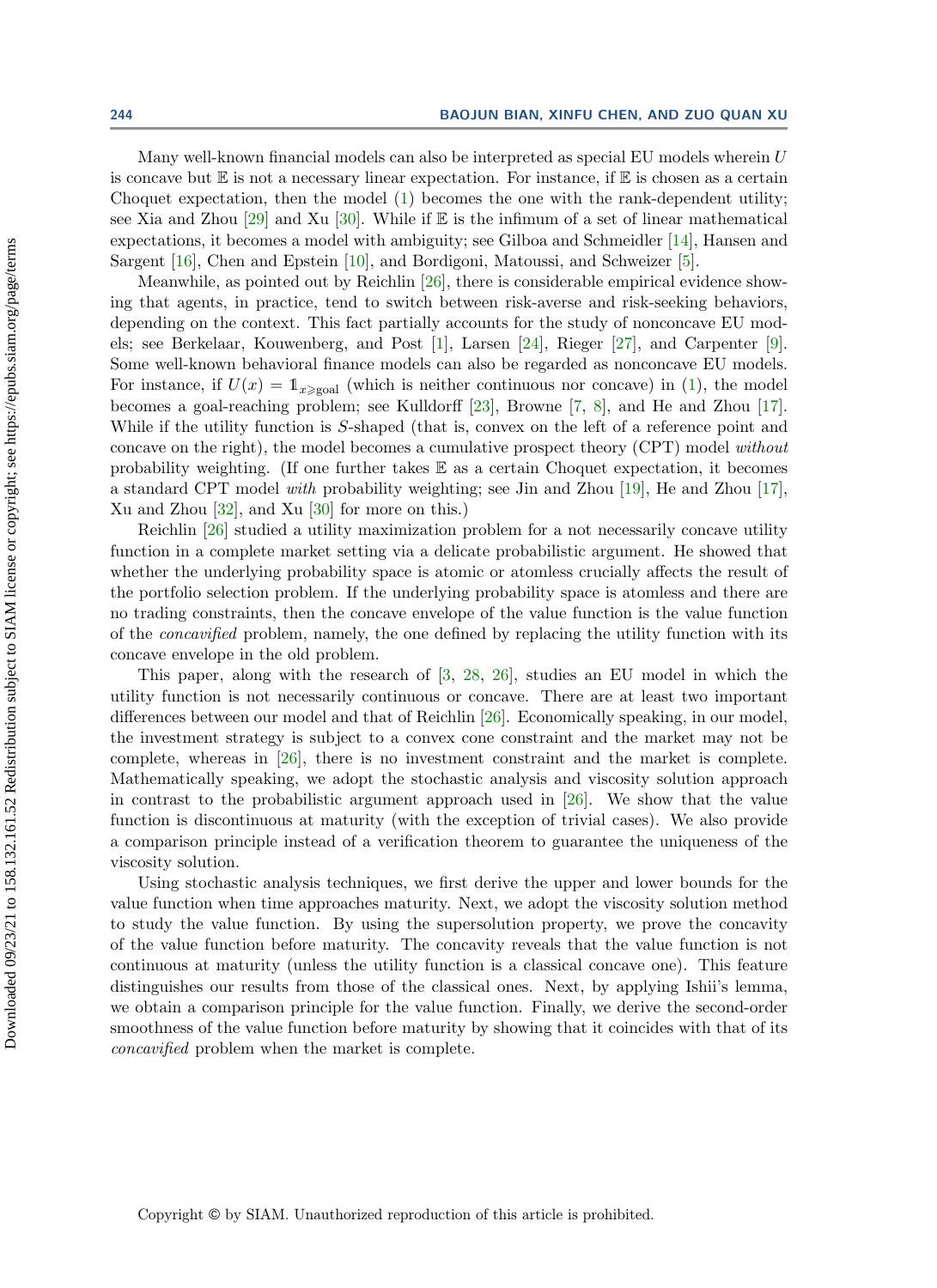Many well-known financial models can also be interpreted as special EU models wherein  $U$ is concave but  $E$  is not a necessary linear expectation. For instance, if  $E$  is chosen as a certain Choquet expectation, then the model  $(1)$  becomes the one with the rank-dependent utility; see Xia and Zhou [\[29\]](#page-17-1) and Xu [\[30\]](#page-17-2). While if  $\mathbb E$  is the infimum of a set of linear mathematical expectations, it becomes a model with ambiguity; see Gilboa and Schmeidler [\[14\]](#page-16-9), Hansen and Sargent [\[16\]](#page-16-10), Chen and Epstein [\[10\]](#page-16-11), and Bordigoni, Matoussi, and Schweizer [\[5\]](#page-16-12).

Meanwhile, as pointed out by Reichlin [\[26\]](#page-17-3), there is considerable empirical evidence showing that agents, in practice, tend to switch between risk-averse and risk-seeking behaviors, depending on the context. This fact partially accounts for the study of nonconcave EU models; see Berkelaar, Kouwenberg, and Post [\[1\]](#page-16-13), Larsen [\[24\]](#page-17-4), Rieger [\[27\]](#page-17-5), and Carpenter [\[9\]](#page-16-14). Some well-known behavioral finance models can also be regarded as nonconcave EU models. For instance, if  $U(x) = \mathbb{1}_{x \geq \text{goal}}$  (which is neither continuous nor concave) in [\(1\)](#page-0-0), the model becomes a goal-reaching problem; see Kulldorff [\[23\]](#page-16-15), Browne [\[7,](#page-16-16) [8\]](#page-16-17), and He and Zhou [\[17\]](#page-16-18). While if the utility function is S-shaped (that is, convex on the left of a reference point and concave on the right), the model becomes a cumulative prospect theory (CPT) model without probability weighting. (If one further takes E as a certain Choquet expectation, it becomes a standard CPT model with probability weighting; see Jin and Zhou [\[19\]](#page-16-19), He and Zhou [\[17\]](#page-16-18), Xu and Zhou [\[32\]](#page-17-6), and Xu [\[30\]](#page-17-2) for more on this.)

Reichlin [\[26\]](#page-17-3) studied a utility maximization problem for a not necessarily concave utility function in a complete market setting via a delicate probabilistic argument. He showed that whether the underlying probability space is atomic or atomless crucially affects the result of the portfolio selection problem. If the underlying probability space is atomless and there are no trading constraints, then the concave envelope of the value function is the value function of the concavified problem, namely, the one defined by replacing the utility function with its concave envelope in the old problem.

This paper, along with the research of [\[3,](#page-16-6) [28,](#page-17-0) [26\]](#page-17-3), studies an EU model in which the utility function is not necessarily continuous or concave. There are at least two important differences between our model and that of Reichlin [\[26\]](#page-17-3). Economically speaking, in our model, the investment strategy is subject to a convex cone constraint and the market may not be complete, whereas in [\[26\]](#page-17-3), there is no investment constraint and the market is complete. Mathematically speaking, we adopt the stochastic analysis and viscosity solution approach in contrast to the probabilistic argument approach used in [\[26\]](#page-17-3). We show that the value function is discontinuous at maturity (with the exception of trivial cases). We also provide a comparison principle instead of a verification theorem to guarantee the uniqueness of the viscosity solution.

Using stochastic analysis techniques, we first derive the upper and lower bounds for the value function when time approaches maturity. Next, we adopt the viscosity solution method to study the value function. By using the supersolution property, we prove the concavity of the value function before maturity. The concavity reveals that the value function is not continuous at maturity (unless the utility function is a classical concave one). This feature distinguishes our results from those of the classical ones. Next, by applying Ishii's lemma, we obtain a comparison principle for the value function. Finally, we derive the second-order smoothness of the value function before maturity by showing that it coincides with that of its concavified problem when the market is complete.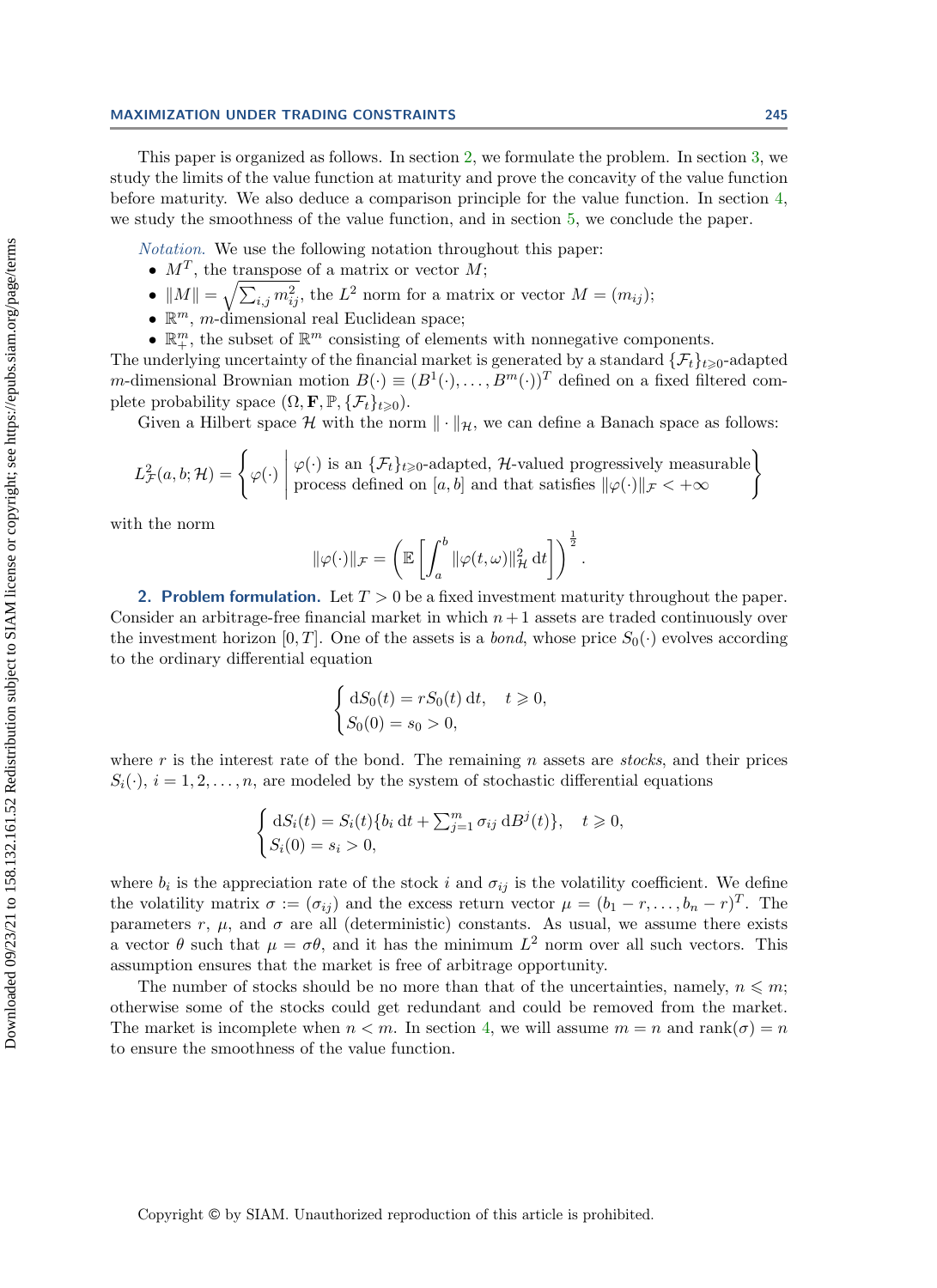This paper is organized as follows. In section [2,](#page-2-0) we formulate the problem. In section [3,](#page-4-0) we study the limits of the value function at maturity and prove the concavity of the value function before maturity. We also deduce a comparison principle for the value function. In section [4,](#page-12-0) we study the smoothness of the value function, and in section [5,](#page-13-0) we conclude the paper.

Notation. We use the following notation throughout this paper:

- $M^T$ , the transpose of a matrix or vector M;
- $||M|| = \sqrt{\sum_{i,j} m_{ij}^2}$ , the  $L^2$  norm for a matrix or vector  $M = (m_{ij});$
- $\bullet \mathbb{R}^m$ , *m*-dimensional real Euclidean space;
- $\bullet \ \mathbb{R}^m_+$  the subset of  $\mathbb{R}^m$  consisting of elements with nonnegative components.

The underlying uncertainty of the financial market is generated by a standard  $\{\mathcal{F}_t\}_{t\geq 0}$ -adapted *m*-dimensional Brownian motion  $B(\cdot) \equiv (B^1(\cdot), \ldots, B^m(\cdot))^T$  defined on a fixed filtered complete probability space  $(\Omega, \mathbf{F}, \mathbb{P}, \{\mathcal{F}_t\}_{t\geq 0}).$ 

Given a Hilbert space  $\mathcal H$  with the norm  $\|\cdot\|_{\mathcal H}$ , we can define a Banach space as follows:

$$
L_{\mathcal{F}}^{2}(a,b;\mathcal{H}) = \left\{ \varphi(\cdot) \middle| \varphi(\cdot) \text{ is an } \{\mathcal{F}_{t}\}_{t\geqslant0}\text{-adapted, }\mathcal{H}\text{-valued progressively measurable} \atop \text{process defined on } [a,b] \text{ and that satisfies } \|\varphi(\cdot)\|_{\mathcal{F}} < +\infty \right\}
$$

with the norm

$$
\|\varphi(\cdot)\|_{\mathcal{F}} = \left(\mathbb{E}\left[\int_a^b \|\varphi(t,\omega)\|_{\mathcal{H}}^2 dt\right]\right)^{\frac{1}{2}}.
$$

<span id="page-2-0"></span>2. Problem formulation. Let  $T > 0$  be a fixed investment maturity throughout the paper. Consider an arbitrage-free financial market in which  $n+1$  assets are traded continuously over the investment horizon [0, T]. One of the assets is a *bond*, whose price  $S_0(\cdot)$  evolves according to the ordinary differential equation

$$
\begin{cases} dS_0(t) = rS_0(t) dt, \quad t \geq 0, \\ S_0(0) = s_0 > 0, \end{cases}
$$

where r is the interest rate of the bond. The remaining n assets are *stocks*, and their prices  $S_i(\cdot)$ ,  $i = 1, 2, \ldots, n$ , are modeled by the system of stochastic differential equations

$$
\begin{cases} dS_i(t) = S_i(t)\{b_i dt + \sum_{j=1}^m \sigma_{ij} dB^j(t)\}, & t \ge 0, \\ S_i(0) = s_i > 0, \end{cases}
$$

where  $b_i$  is the appreciation rate of the stock i and  $\sigma_{ij}$  is the volatility coefficient. We define the volatility matrix  $\sigma := (\sigma_{ij})$  and the excess return vector  $\mu = (b_1 - r, \dots, b_n - r)^T$ . The parameters r,  $\mu$ , and  $\sigma$  are all (deterministic) constants. As usual, we assume there exists a vector  $\theta$  such that  $\mu = \sigma \theta$ , and it has the minimum  $L^2$  norm over all such vectors. This assumption ensures that the market is free of arbitrage opportunity.

The number of stocks should be no more than that of the uncertainties, namely,  $n \leq m$ ; otherwise some of the stocks could get redundant and could be removed from the market. The market is incomplete when  $n < m$ . In section [4,](#page-12-0) we will assume  $m = n$  and rank $(\sigma) = n$ to ensure the smoothness of the value function.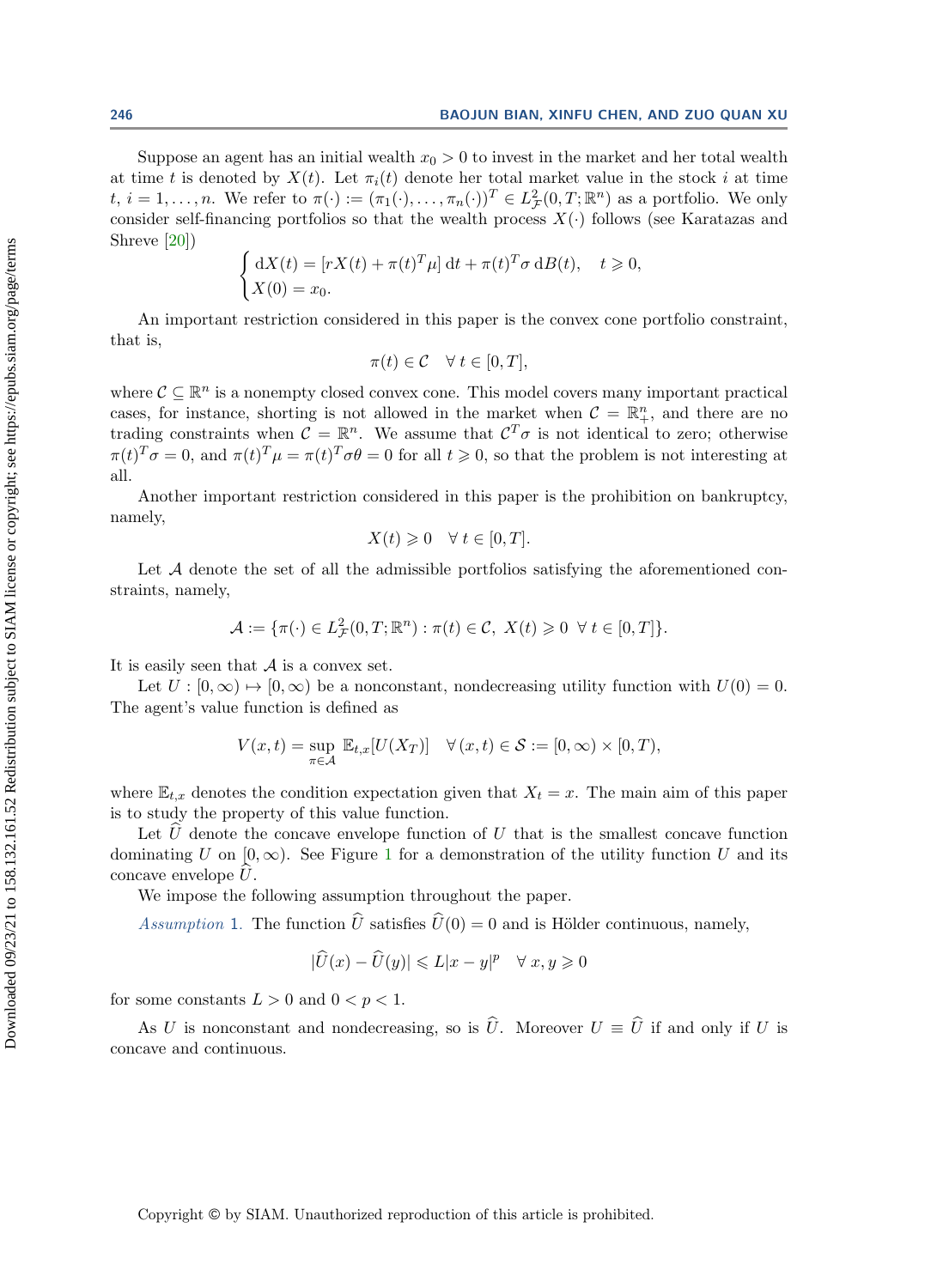Suppose an agent has an initial wealth  $x_0 > 0$  to invest in the market and her total wealth at time t is denoted by  $X(t)$ . Let  $\pi_i(t)$  denote her total market value in the stock i at time  $t, i = 1, \ldots, n$ . We refer to  $\pi(\cdot) := (\pi_1(\cdot), \ldots, \pi_n(\cdot))^T \in L^2_{\mathcal{F}}(0,T;\mathbb{R}^n)$  as a portfolio. We only consider self-financing portfolios so that the wealth process  $X(\cdot)$  follows (see Karatazas and Shreve [\[20\]](#page-16-20))

$$
\begin{cases} dX(t) = [rX(t) + \pi(t)^T \mu] dt + \pi(t)^T \sigma dB(t), \quad t \ge 0, \\ X(0) = x_0. \end{cases}
$$

An important restriction considered in this paper is the convex cone portfolio constraint, that is,

$$
\pi(t) \in \mathcal{C} \quad \forall \ t \in [0, T],
$$

where  $\mathcal{C} \subseteq \mathbb{R}^n$  is a nonempty closed convex cone. This model covers many important practical cases, for instance, shorting is not allowed in the market when  $\mathcal{C} = \mathbb{R}^n_+$ , and there are no trading constraints when  $\mathcal{C} = \mathbb{R}^n$ . We assume that  $\mathcal{C}^T \sigma$  is not identical to zero; otherwise  $\pi(t)^T \sigma = 0$ , and  $\pi(t)^T \mu = \pi(t)^T \sigma \theta = 0$  for all  $t \geq 0$ , so that the problem is not interesting at all.

Another important restriction considered in this paper is the prohibition on bankruptcy, namely,

$$
X(t) \geq 0 \quad \forall \ t \in [0, T].
$$

Let  $A$  denote the set of all the admissible portfolios satisfying the aforementioned constraints, namely,

$$
\mathcal{A} := \{ \pi(\cdot) \in L^2_{\mathcal{F}}(0,T;\mathbb{R}^n) : \pi(t) \in \mathcal{C}, \ X(t) \geq 0 \ \forall \ t \in [0,T] \}.
$$

It is easily seen that A is a convex set.

Let  $U : [0, \infty) \mapsto [0, \infty)$  be a nonconstant, nondecreasing utility function with  $U(0) = 0$ . The agent's value function is defined as

$$
V(x,t) = \sup_{\pi \in \mathcal{A}} \mathbb{E}_{t,x}[U(X_T)] \quad \forall (x,t) \in \mathcal{S} := [0,\infty) \times [0,T),
$$

where  $\mathbb{E}_{t,x}$  denotes the condition expectation given that  $X_t = x$ . The main aim of this paper is to study the property of this value function.

Let  $\hat{U}$  denote the concave envelope function of U that is the smallest concave function dominating U on  $[0, \infty)$ . See Figure [1](#page-4-1) for a demonstration of the utility function U and its concave envelope  $U$ .

We impose the following assumption throughout the paper.

<span id="page-3-0"></span>Assumption 1. The function  $\hat{U}$  satisfies  $\hat{U}(0) = 0$  and is Hölder continuous, namely,

$$
|\widehat{U}(x) - \widehat{U}(y)| \leq L|x - y|^p \quad \forall \ x, y \geq 0
$$

for some constants  $L > 0$  and  $0 < p < 1$ .

As U is nonconstant and nondecreasing, so is  $\hat{U}$ . Moreover  $U = \hat{U}$  if and only if U is concave and continuous.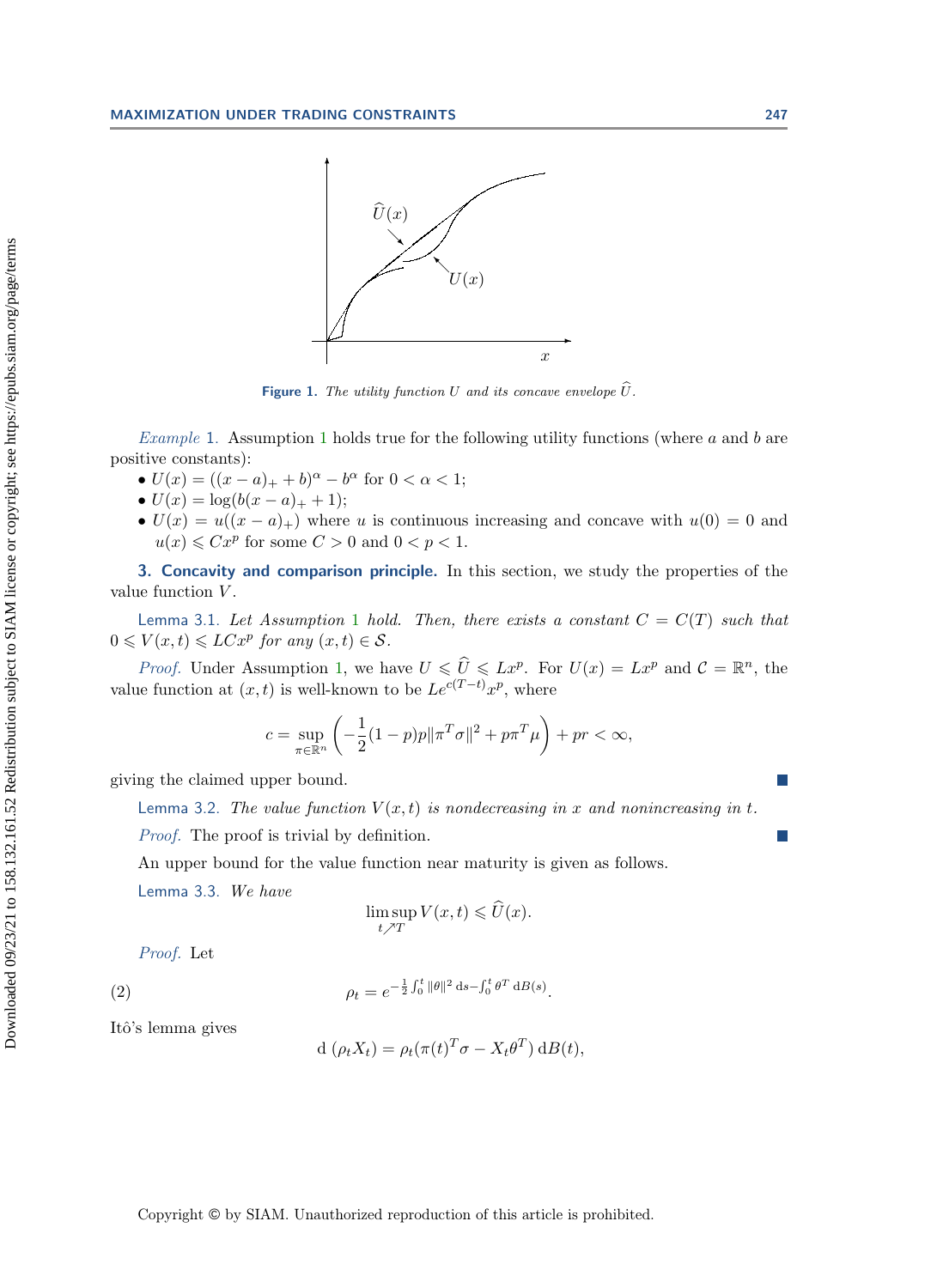<span id="page-4-1"></span>

Figure 1. The utility function U and its concave envelope  $\hat{U}$ .

*Example [1](#page-3-0).* Assumption 1 holds true for the following utility functions (where  $a$  and  $b$  are positive constants):

- $U(x) = ((x a)_+ + b)^{\alpha} b^{\alpha}$  for  $0 < \alpha < 1$ ;
- $U(x) = \log(b(x a)_{+} + 1);$
- $U(x) = u((x a)_+)$  where u is continuous increasing and concave with  $u(0) = 0$  and  $u(x) \leqslant Cx^p$  for some  $C > 0$  and  $0 < p < 1$ .

<span id="page-4-0"></span>3. Concavity and comparison principle. In this section, we study the properties of the value function V.

<span id="page-4-4"></span>Lemma 3.[1](#page-3-0). Let Assumption 1 hold. Then, there exists a constant  $C = C(T)$  such that  $0 \leqslant V(x,t) \leqslant LCx^p$  for any  $(x,t) \in S$ .

*Proof.* Under Assumption [1,](#page-3-0) we have  $U \leq \widehat{U} \leq Lx^p$ . For  $U(x) = Lx^p$  and  $\mathcal{C} = \mathbb{R}^n$ , the value function at  $(x, t)$  is well-known to be  $Le^{c(T-t)}x^p$ , where

$$
c = \sup_{\pi \in \mathbb{R}^n} \left( -\frac{1}{2} (1 - p)p \|\pi^T \sigma\|^2 + p\pi^T \mu \right) + pr < \infty,
$$

<span id="page-4-2"></span>giving the claimed upper bound.

Lemma 3.2. The value function  $V(x,t)$  is nondecreasing in x and nonincreasing in t.

Proof. The proof is trivial by definition.

An upper bound for the value function near maturity is given as follows.

<span id="page-4-3"></span>Lemma 3.3. We have

$$
\limsup_{t \nearrow T} V(x,t) \leq \widehat{U}(x).
$$

Proof. Let

<span id="page-4-5"></span>(2) 
$$
\rho_t = e^{-\frac{1}{2}\int_0^t \|\theta\|^2 \, ds - \int_0^t \theta^T \, dB(s)}.
$$

Itô's lemma gives

$$
d(\rho_t X_t) = \rho_t(\pi(t)^T \sigma - X_t \theta^T) dB(t),
$$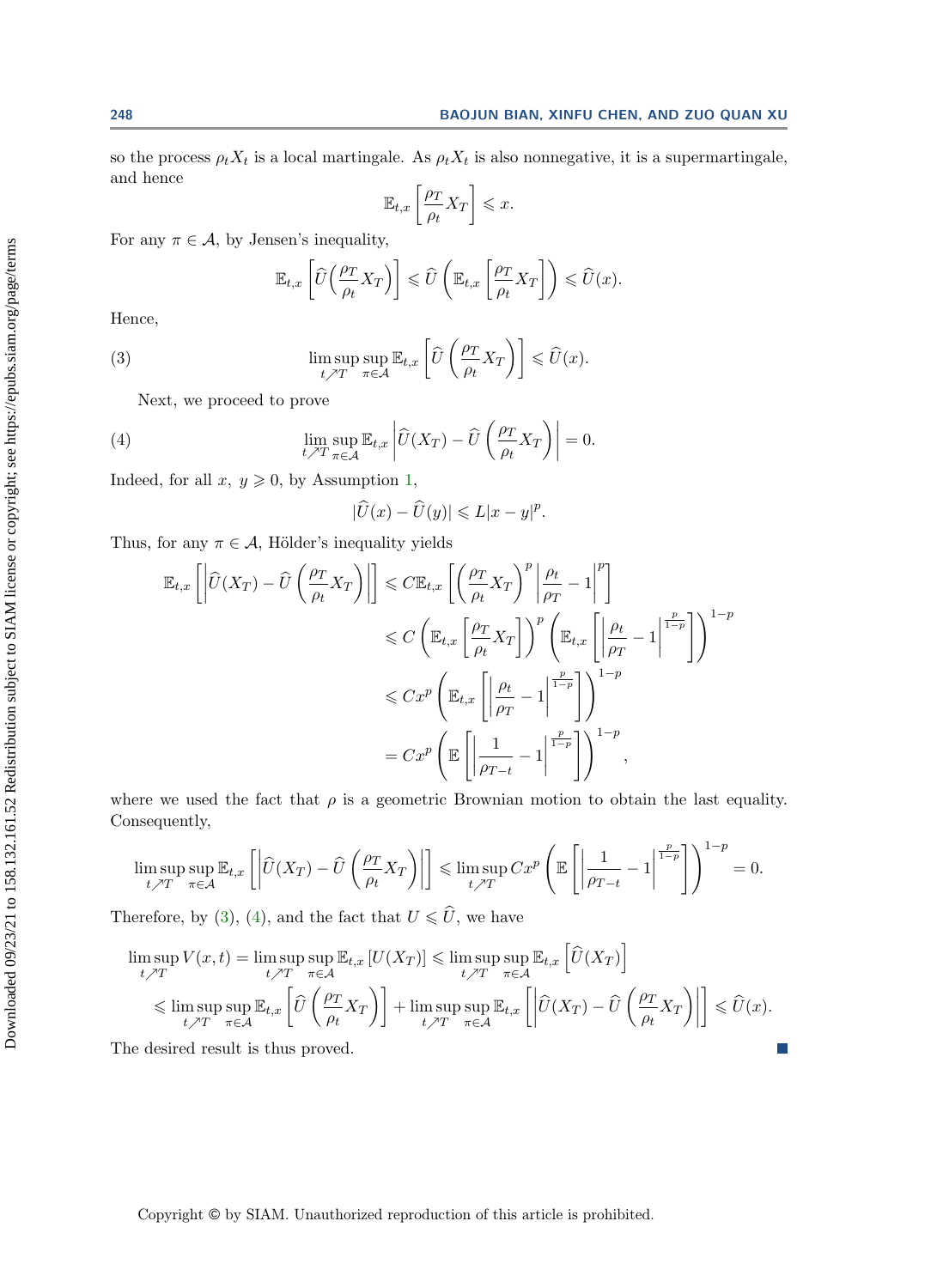so the process  $\rho_t X_t$  is a local martingale. As  $\rho_t X_t$  is also nonnegative, it is a supermartingale, and hence

$$
\mathbb{E}_{t,x}\left[\frac{\rho_T}{\rho_t}X_T\right] \leqslant x.
$$

For any  $\pi \in \mathcal{A}$ , by Jensen's inequality,

$$
\mathbb{E}_{t,x}\left[\widehat{U}\left(\frac{\rho_T}{\rho_t}X_T\right)\right] \leq \widehat{U}\left(\mathbb{E}_{t,x}\left[\frac{\rho_T}{\rho_t}X_T\right]\right) \leq \widehat{U}(x).
$$

Hence,

<span id="page-5-0"></span>(3) 
$$
\limsup_{t \nearrow T} \sup_{\pi \in \mathcal{A}} \mathbb{E}_{t,x} \left[ \widehat{U} \left( \frac{\rho_T}{\rho_t} X_T \right) \right] \leq \widehat{U}(x).
$$

Next, we proceed to prove

<span id="page-5-1"></span>(4) 
$$
\lim_{t \nearrow T} \sup_{\pi \in \mathcal{A}} \mathbb{E}_{t,x} \left| \widehat{U}(X_T) - \widehat{U}\left(\frac{\rho_T}{\rho_t} X_T\right) \right| = 0.
$$

Indeed, for all  $x, y \geq 0$ , by Assumption [1,](#page-3-0)

$$
|\widehat{U}(x) - \widehat{U}(y)| \leq L|x - y|^p.
$$

Thus, for any  $\pi \in \mathcal{A}$ , Hölder's inequality yields

$$
\mathbb{E}_{t,x}\left[\left|\widehat{U}(X_T) - \widehat{U}\left(\frac{\rho_T}{\rho_t}X_T\right)\right|\right] \leq C \mathbb{E}_{t,x}\left[\left(\frac{\rho_T}{\rho_t}X_T\right)^p \left|\frac{\rho_t}{\rho_T} - 1\right|^p\right] \\
\leq C \left(\mathbb{E}_{t,x}\left[\frac{\rho_T}{\rho_t}X_T\right]\right)^p \left(\mathbb{E}_{t,x}\left[\left|\frac{\rho_t}{\rho_T} - 1\right|^{\frac{p}{1-p}}\right]\right)^{1-p} \\
\leq C x^p \left(\mathbb{E}_{t,x}\left[\left|\frac{\rho_t}{\rho_T} - 1\right|^{\frac{p}{1-p}}\right]\right)^{1-p} \\
= C x^p \left(\mathbb{E}\left[\left|\frac{1}{\rho_{T-t}} - 1\right|^{\frac{p}{1-p}}\right]\right)^{1-p},
$$

where we used the fact that  $\rho$  is a geometric Brownian motion to obtain the last equality. Consequently,

$$
\limsup_{t \nearrow T} \sup_{\pi \in \mathcal{A}} \mathbb{E}_{t,x} \left[ \left| \widehat{U}(X_T) - \widehat{U}\left(\frac{\rho_T}{\rho_t} X_T\right) \right| \right] \leq \limsup_{t \nearrow T} C x^p \left( \mathbb{E} \left[ \left| \frac{1}{\rho_{T-t}} - 1 \right|^{\frac{p}{1-p}} \right] \right)^{1-p} = 0.
$$

Therefore, by [\(3\)](#page-5-0), [\(4\)](#page-5-1), and the fact that  $U\leqslant \widehat{U},$  we have

$$
\limsup_{t \nearrow T} V(x,t) = \limsup_{t \nearrow T} \sup_{\pi \in \mathcal{A}} \mathbb{E}_{t,x} \left[ U(X_T) \right] \leq \limsup_{t \nearrow T} \sup_{\pi \in \mathcal{A}} \mathbb{E}_{t,x} \left[ \widehat{U}(X_T) \right]
$$
\n
$$
\leq \limsup_{t \nearrow T} \sup_{\pi \in \mathcal{A}} \mathbb{E}_{t,x} \left[ \widehat{U} \left( \frac{\rho_T}{\rho_t} X_T \right) \right] + \limsup_{t \nearrow T} \sup_{\pi \in \mathcal{A}} \mathbb{E}_{t,x} \left[ \left| \widehat{U}(X_T) - \widehat{U} \left( \frac{\rho_T}{\rho_t} X_T \right) \right| \right] \leq \widehat{U}(x).
$$
\nthe desired result is thus proved.

The desired result is thus proved.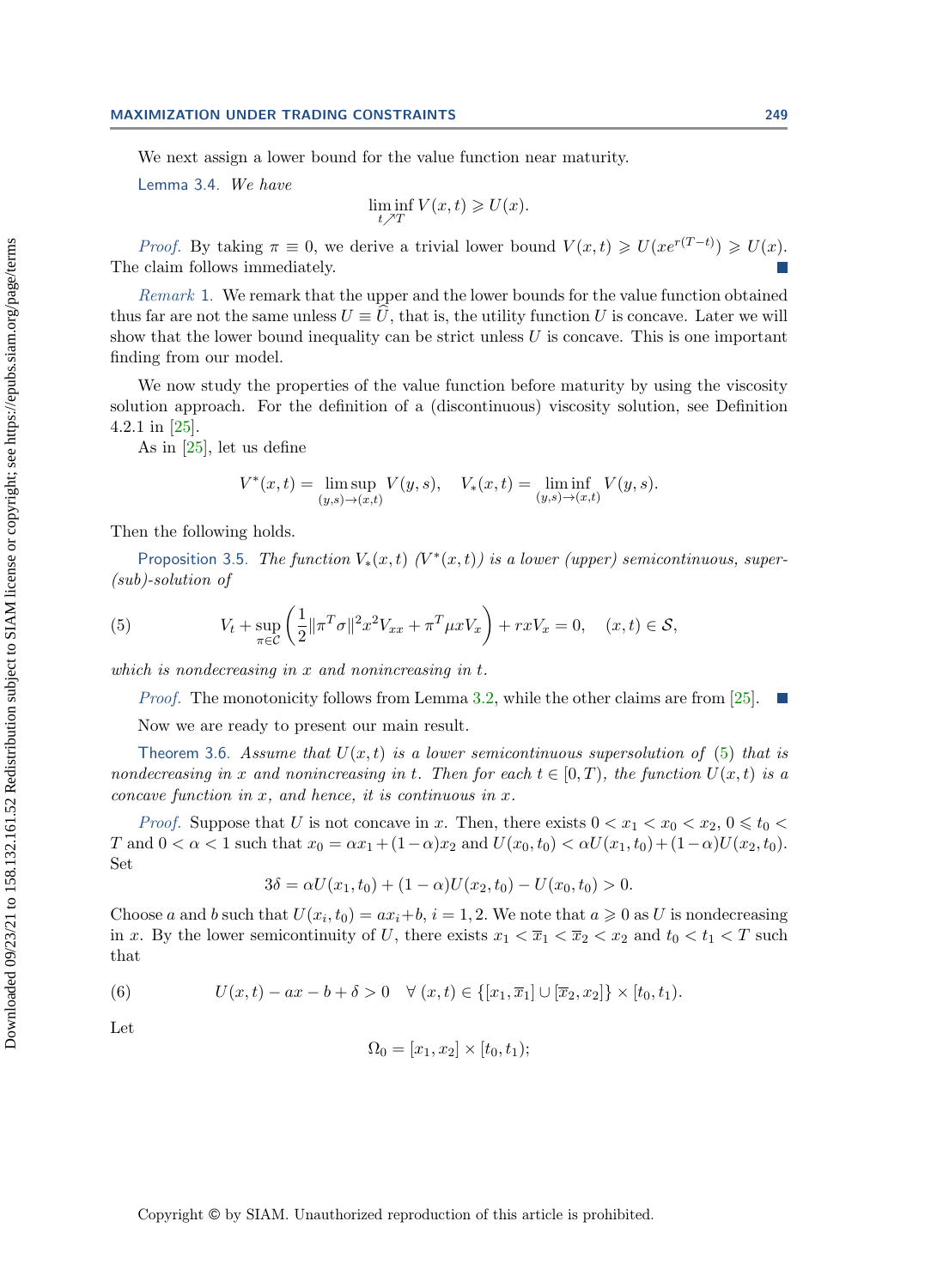#### MAXIMIZATION UNDER TRADING CONSTRAINTS 249

We next assign a lower bound for the value function near maturity.

<span id="page-6-3"></span>Lemma 3.4. We have

$$
\liminf_{t \nearrow T} V(x,t) \geqslant U(x).
$$

*Proof.* By taking  $\pi \equiv 0$ , we derive a trivial lower bound  $V(x,t) \ge U(xe^{r(T-t)}) \ge U(x)$ . The claim follows immediately.

Remark 1. We remark that the upper and the lower bounds for the value function obtained thus far are not the same unless  $U \equiv \hat{U}$ , that is, the utility function U is concave. Later we will show that the lower bound inequality can be strict unless  $U$  is concave. This is one important finding from our model.

We now study the properties of the value function before maturity by using the viscosity solution approach. For the definition of a (discontinuous) viscosity solution, see Definition 4.2.1 in [\[25\]](#page-17-7).

As in [\[25\]](#page-17-7), let us define

$$
V^*(x,t) = \limsup_{(y,s)\to(x,t)} V(y,s), \quad V_*(x,t) = \liminf_{(y,s)\to(x,t)} V(y,s).
$$

Then the following holds.

<span id="page-6-4"></span>Proposition 3.5. The function  $V_*(x,t)$  ( $V^*(x,t)$ ) is a lower (upper) semicontinuous, super-(sub)-solution of

<span id="page-6-0"></span>(5) 
$$
V_t + \sup_{\pi \in \mathcal{C}} \left( \frac{1}{2} ||\pi^T \sigma||^2 x^2 V_{xx} + \pi^T \mu x V_x \right) + rxV_x = 0, \quad (x, t) \in \mathcal{S},
$$

which is nondecreasing in x and nonincreasing in t.

*Proof.* The monotonicity follows from Lemma [3.2,](#page-4-2) while the other claims are from [\[25\]](#page-17-7).  $\blacksquare$ 

Now we are ready to present our main result.

<span id="page-6-2"></span>Theorem 3.6. Assume that  $U(x, t)$  is a lower semicontinuous supersolution of [\(5\)](#page-6-0) that is nondecreasing in x and nonincreasing in t. Then for each  $t \in [0, T)$ , the function  $U(x, t)$  is a concave function in  $x$ , and hence, it is continuous in  $x$ .

*Proof.* Suppose that U is not concave in x. Then, there exists  $0 < x_1 < x_0 < x_2, 0 \leq t_0 <$ T and  $0 < \alpha < 1$  such that  $x_0 = \alpha x_1 + (1 - \alpha)x_2$  and  $U(x_0, t_0) < \alpha U(x_1, t_0) + (1 - \alpha)U(x_2, t_0)$ . Set

$$
3\delta = \alpha U(x_1, t_0) + (1 - \alpha)U(x_2, t_0) - U(x_0, t_0) > 0.
$$

Choose a and b such that  $U(x_i, t_0) = ax_i + b$ ,  $i = 1, 2$ . We note that  $a \ge 0$  as U is nondecreasing in x. By the lower semicontinuity of U, there exists  $x_1 < \overline{x}_1 < \overline{x}_2 < x_2$  and  $t_0 < t_1 < T$  such that

<span id="page-6-1"></span>(6) 
$$
U(x,t) - ax - b + \delta > 0 \quad \forall (x,t) \in \{ [x_1,\overline{x}_1] \cup [\overline{x}_2,x_2] \} \times [t_0,t_1).
$$

Let

$$
\Omega_0 = [x_1, x_2] \times [t_0, t_1);
$$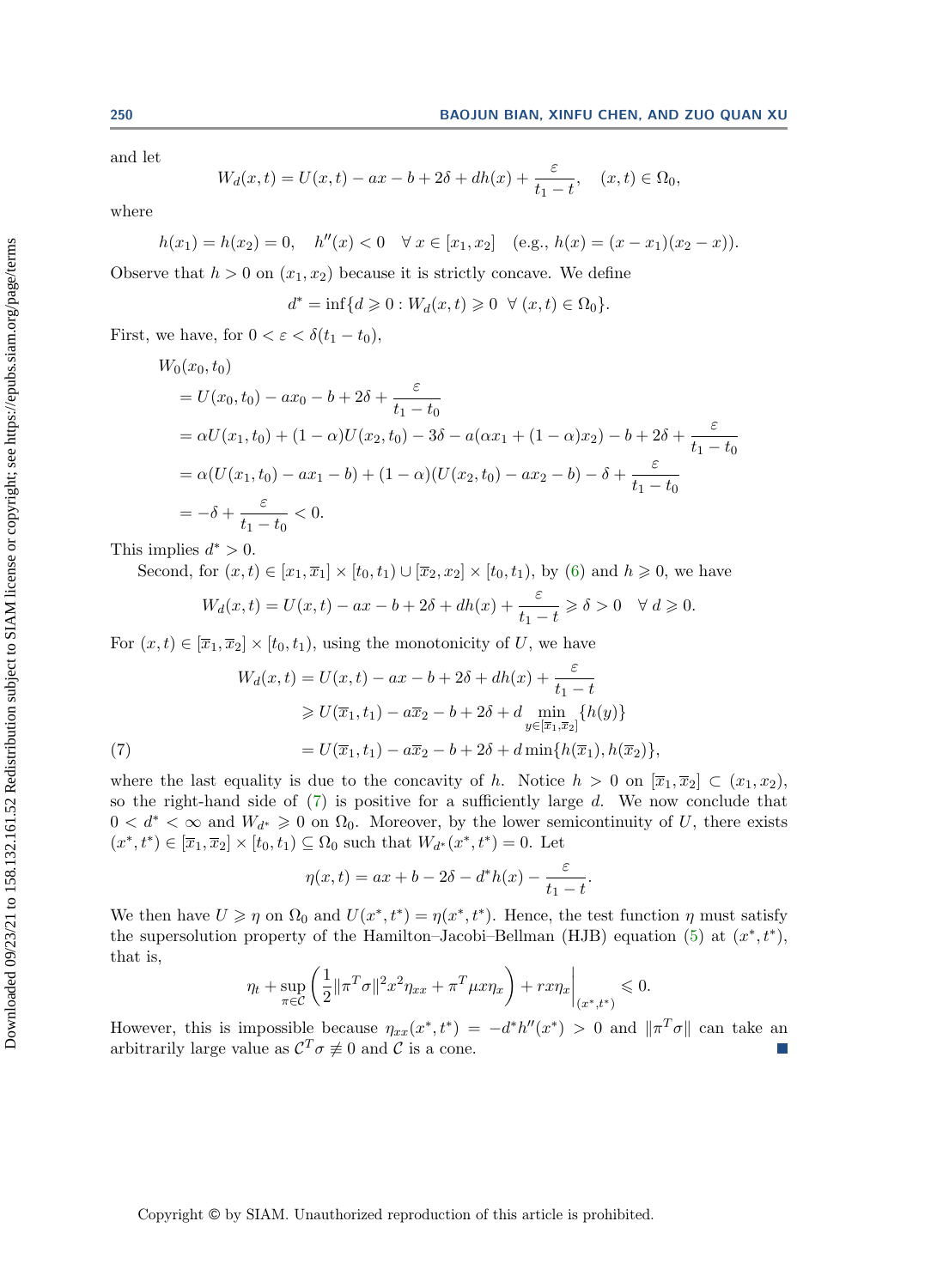and let

$$
W_d(x,t) = U(x,t) - ax - b + 2\delta + dh(x) + \frac{\varepsilon}{t_1 - t}, \quad (x,t) \in \Omega_0,
$$

where

$$
h(x_1) = h(x_2) = 0, \quad h''(x) < 0 \quad \forall \ x \in [x_1, x_2] \quad (\text{e.g., } h(x) = (x - x_1)(x_2 - x)).
$$

Observe that  $h > 0$  on  $(x_1, x_2)$  because it is strictly concave. We define

$$
d^* = \inf\{d \ge 0 : W_d(x, t) \ge 0 \ \ \forall \ (x, t) \in \Omega_0\}.
$$

First, we have, for  $0 < \varepsilon < \delta(t_1 - t_0)$ ,

$$
W_0(x_0, t_0)
$$
  
=  $U(x_0, t_0) - ax_0 - b + 2\delta + \frac{\varepsilon}{t_1 - t_0}$   
=  $\alpha U(x_1, t_0) + (1 - \alpha)U(x_2, t_0) - 3\delta - a(\alpha x_1 + (1 - \alpha)x_2) - b + 2\delta + \frac{\varepsilon}{t_1 - t_0}$   
=  $\alpha (U(x_1, t_0) - ax_1 - b) + (1 - \alpha)(U(x_2, t_0) - ax_2 - b) - \delta + \frac{\varepsilon}{t_1 - t_0}$   
=  $-\delta + \frac{\varepsilon}{t_1 - t_0} < 0$ .

This implies  $d^* > 0$ .

Second, for 
$$
(x, t) \in [x_1, \overline{x}_1] \times [t_0, t_1) \cup [\overline{x}_2, x_2] \times [t_0, t_1)
$$
, by (6) and  $h \ge 0$ , we have

$$
W_d(x,t) = U(x,t) - ax - b + 2\delta + dh(x) + \frac{\varepsilon}{t_1 - t} \ge \delta > 0 \quad \forall \ d \ge 0.
$$

For  $(x, t) \in [\overline{x}_1, \overline{x}_2] \times [t_0, t_1)$ , using the monotonicity of U, we have

(7)  
\n
$$
W_d(x,t) = U(x,t) - ax - b + 2\delta + dh(x) + \frac{\varepsilon}{t_1 - t}
$$
\n
$$
\geq U(\overline{x}_1, t_1) - a\overline{x}_2 - b + 2\delta + d \min_{y \in [\overline{x}_1, \overline{x}_2]} \{h(y)\}
$$
\n
$$
= U(\overline{x}_1, t_1) - a\overline{x}_2 - b + 2\delta + d \min\{h(\overline{x}_1), h(\overline{x}_2)\},
$$

<span id="page-7-0"></span>where the last equality is due to the concavity of h. Notice  $h > 0$  on  $[\overline{x}_1, \overline{x}_2] \subset (x_1, x_2)$ , so the right-hand side of  $(7)$  is positive for a sufficiently large d. We now conclude that  $0 < d^* < \infty$  and  $W_{d^*} \geq 0$  on  $\Omega_0$ . Moreover, by the lower semicontinuity of U, there exists  $(x^*, t^*) \in [\overline{x}_1, \overline{x}_2] \times [t_0, t_1) \subseteq \Omega_0$  such that  $W_{d^*}(x^*, t^*) = 0$ . Let

$$
\eta(x,t) = ax + b - 2\delta - d^*h(x) - \frac{\varepsilon}{t_1 - t}.
$$

We then have  $U \geq \eta$  on  $\Omega_0$  and  $U(x^*, t^*) = \eta(x^*, t^*)$ . Hence, the test function  $\eta$  must satisfy the supersolution property of the Hamilton–Jacobi–Bellman (HJB) equation [\(5\)](#page-6-0) at  $(x^*, t^*)$ , that is,

$$
\eta_t + \sup_{\pi \in \mathcal{C}} \left( \frac{1}{2} \| \pi^T \sigma \|^2 x^2 \eta_{xx} + \pi^T \mu x \eta_x \right) + r x \eta_x \Big|_{(x^*, t^*)} \leq 0.
$$

However, this is impossible because  $\eta_{xx}(x^*, t^*) = -d^*h''(x^*) > 0$  and  $\|\pi^T\sigma\|$  can take an arbitrarily large value as  $C^T \sigma \neq 0$  and C is a cone.  $\mathcal{C}^{\mathcal{A}}$ 

Copyright © by SIAM. Unauthorized reproduction of this article is prohibited.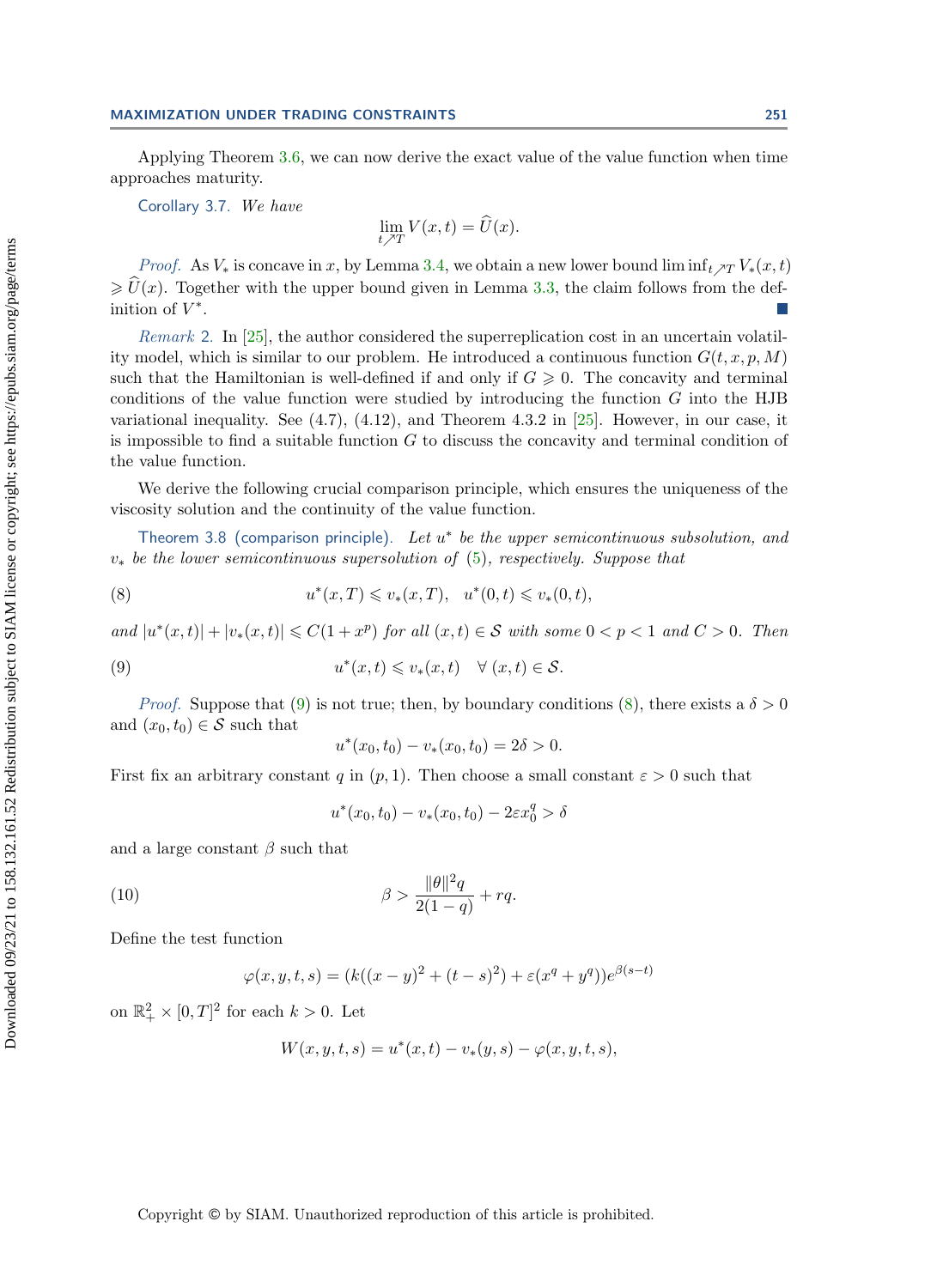Applying Theorem [3.6,](#page-6-2) we can now derive the exact value of the value function when time approaches maturity.

<span id="page-8-3"></span>Corollary 3.7. We have

$$
\lim_{t \nearrow T} V(x,t) = \widehat{U}(x).
$$

*Proof.* As  $V_*$  is concave in x, by Lemma [3.4,](#page-6-3) we obtain a new lower bound lim inf<sub>t  $\chi_T V_*(x, t)$ </sub>  $\geq \hat{U}(x)$ . Together with the upper bound given in Lemma [3.3,](#page-4-3) the claim follows from the definition of  $V^*$ .

Remark 2. In [\[25\]](#page-17-7), the author considered the superreplication cost in an uncertain volatility model, which is similar to our problem. He introduced a continuous function  $G(t, x, p, M)$ such that the Hamiltonian is well-defined if and only if  $G \geq 0$ . The concavity and terminal conditions of the value function were studied by introducing the function  $G$  into the HJB variational inequality. See  $(4.7)$ ,  $(4.12)$ , and Theorem 4.3.2 in [\[25\]](#page-17-7). However, in our case, it is impossible to find a suitable function  $G$  to discuss the concavity and terminal condition of the value function.

We derive the following crucial comparison principle, which ensures the uniqueness of the viscosity solution and the continuity of the value function.

<span id="page-8-4"></span>Theorem 3.8 (comparison principle). Let  $u^*$  be the upper semicontinuous subsolution, and  $v_*$  be the lower semicontinuous supersolution of  $(5)$ , respectively. Suppose that

(8) 
$$
u^*(x,T) \leq v_*(x,T), \quad u^*(0,t) \leq v_*(0,t),
$$

and  $|u^*(x,t)|+|v_*(x,t)| \leq C(1+x^p)$  for all  $(x,t) \in S$  with some  $0 < p < 1$  and  $C > 0$ . Then

(9) 
$$
u^*(x,t) \leq v_*(x,t) \quad \forall (x,t) \in \mathcal{S}.
$$

*Proof.* Suppose that [\(9\)](#page-8-0) is not true; then, by boundary conditions [\(8\)](#page-8-1), there exists a  $\delta > 0$ and  $(x_0, t_0) \in \mathcal{S}$  such that

<span id="page-8-1"></span><span id="page-8-0"></span>
$$
u^*(x_0, t_0) - v_*(x_0, t_0) = 2\delta > 0.
$$

First fix an arbitrary constant q in  $(p, 1)$ . Then choose a small constant  $\varepsilon > 0$  such that

$$
u^*(x_0, t_0) - v_*(x_0, t_0) - 2\varepsilon x_0^q > \delta
$$

and a large constant  $\beta$  such that

<span id="page-8-2"></span>(10) 
$$
\beta > \frac{\|\theta\|^2 q}{2(1-q)} + r q.
$$

Define the test function

$$
\varphi(x, y, t, s) = (k((x - y)^2 + (t - s)^2) + \varepsilon (x^q + y^q))e^{\beta(s - t)}
$$

on  $\mathbb{R}^2_+ \times [0,T]^2$  for each  $k > 0$ . Let

$$
W(x, y, t, s) = u^*(x, t) - v_*(y, s) - \varphi(x, y, t, s),
$$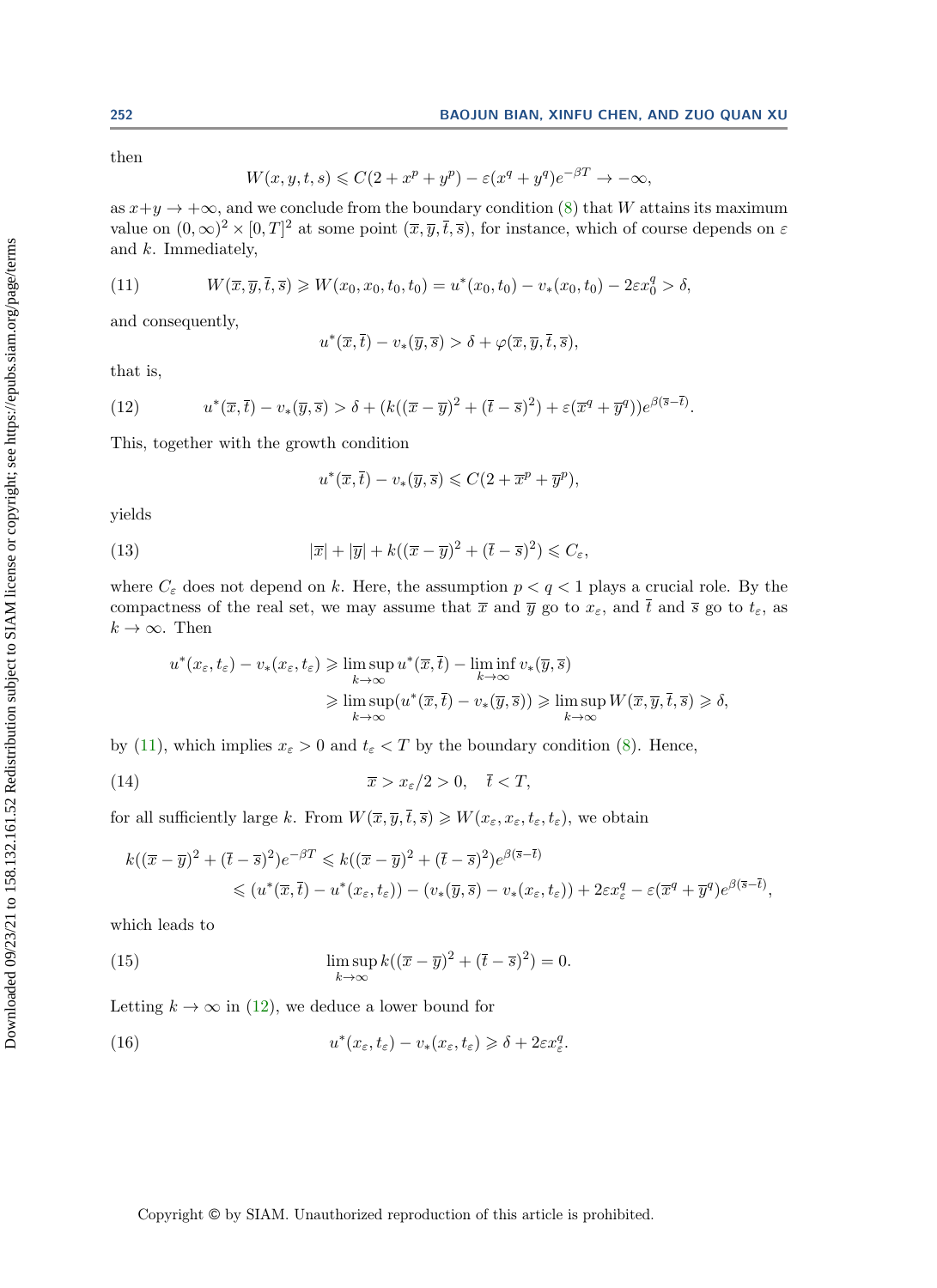then

$$
W(x, y, t, s) \leqslant C(2 + x^{p} + y^{p}) - \varepsilon (x^{q} + y^{q})e^{-\beta T} \to -\infty,
$$

as  $x+y \to +\infty$ , and we conclude from the boundary condition [\(8\)](#page-8-1) that W attains its maximum value on  $(0,\infty)^2 \times [0,T]^2$  at some point  $(\overline{x},\overline{y},\overline{t},\overline{s})$ , for instance, which of course depends on  $\varepsilon$ and k. Immediately,

<span id="page-9-0"></span>(11) 
$$
W(\overline{x}, \overline{y}, \overline{t}, \overline{s}) \geqslant W(x_0, x_0, t_0, t_0) = u^*(x_0, t_0) - v_*(x_0, t_0) - 2\varepsilon x_0^q > \delta,
$$

and consequently,

$$
u^*(\overline{x}, \overline{t}) - v_*(\overline{y}, \overline{s}) > \delta + \varphi(\overline{x}, \overline{y}, \overline{t}, \overline{s}),
$$

that is,

<span id="page-9-1"></span>(12) 
$$
u^*(\overline{x},\overline{t})-v_*(\overline{y},\overline{s}) > \delta + (k((\overline{x}-\overline{y})^2+(\overline{t}-\overline{s})^2)+\varepsilon(\overline{x}^q+\overline{y}^q))e^{\beta(\overline{s}-\overline{t})}.
$$

This, together with the growth condition

$$
u^*(\overline{x}, \overline{t}) - v_*(\overline{y}, \overline{s}) \leqslant C(2 + \overline{x}^p + \overline{y}^p),
$$

yields

<span id="page-9-2"></span>(13) 
$$
|\overline{x}| + |\overline{y}| + k((\overline{x} - \overline{y})^2 + (\overline{t} - \overline{s})^2) \leq C_{\varepsilon},
$$

where  $C_{\varepsilon}$  does not depend on k. Here, the assumption  $p < q < 1$  plays a crucial role. By the compactness of the real set, we may assume that  $\bar{x}$  and  $\bar{y}$  go to  $x_{\varepsilon}$ , and  $\bar{t}$  and  $\bar{s}$  go to  $t_{\varepsilon}$ , as  $k \to \infty$ . Then

$$
u^*(x_{\varepsilon}, t_{\varepsilon}) - v_*(x_{\varepsilon}, t_{\varepsilon}) \geq \limsup_{k \to \infty} u^*(\overline{x}, \overline{t}) - \liminf_{k \to \infty} v_*(\overline{y}, \overline{s})
$$
  

$$
\geq \limsup_{k \to \infty} (u^*(\overline{x}, \overline{t}) - v_*(\overline{y}, \overline{s})) \geq \limsup_{k \to \infty} W(\overline{x}, \overline{y}, \overline{t}, \overline{s}) \geq \delta,
$$

by [\(11\)](#page-9-0), which implies  $x_{\varepsilon} > 0$  and  $t_{\varepsilon} < T$  by the boundary condition [\(8\)](#page-8-1). Hence,

<span id="page-9-3"></span>(14) 
$$
\overline{x} > x_{\varepsilon}/2 > 0, \quad \overline{t} < T,
$$

for all sufficiently large k. From  $W(\overline{x}, \overline{y}, \overline{t}, \overline{s}) \geq W(x_{\varepsilon}, x_{\varepsilon}, t_{\varepsilon}, t_{\varepsilon})$ , we obtain

$$
k((\overline{x}-\overline{y})^2+(\overline{t}-\overline{s})^2)e^{-\beta T} \le k((\overline{x}-\overline{y})^2+(\overline{t}-\overline{s})^2)e^{\beta(\overline{s}-\overline{t})}
$$
  

$$
\le (u^*(\overline{x},\overline{t})-u^*(x_{\varepsilon},t_{\varepsilon}))-(v_*(\overline{y},\overline{s})-v_*(x_{\varepsilon},t_{\varepsilon}))+2\varepsilon x_{\varepsilon}^q-\varepsilon(\overline{x}^q+\overline{y}^q)e^{\beta(\overline{s}-\overline{t})},
$$

which leads to

<span id="page-9-4"></span>(15) 
$$
\limsup_{k \to \infty} k((\overline{x} - \overline{y})^2 + (\overline{t} - \overline{s})^2) = 0.
$$

Letting  $k \to \infty$  in [\(12\)](#page-9-1), we deduce a lower bound for

<span id="page-9-5"></span>(16) 
$$
u^*(x_{\varepsilon}, t_{\varepsilon}) - v_*(x_{\varepsilon}, t_{\varepsilon}) \geq \delta + 2\varepsilon x_{\varepsilon}^q.
$$

Copyright © by SIAM. Unauthorized reproduction of this article is prohibited.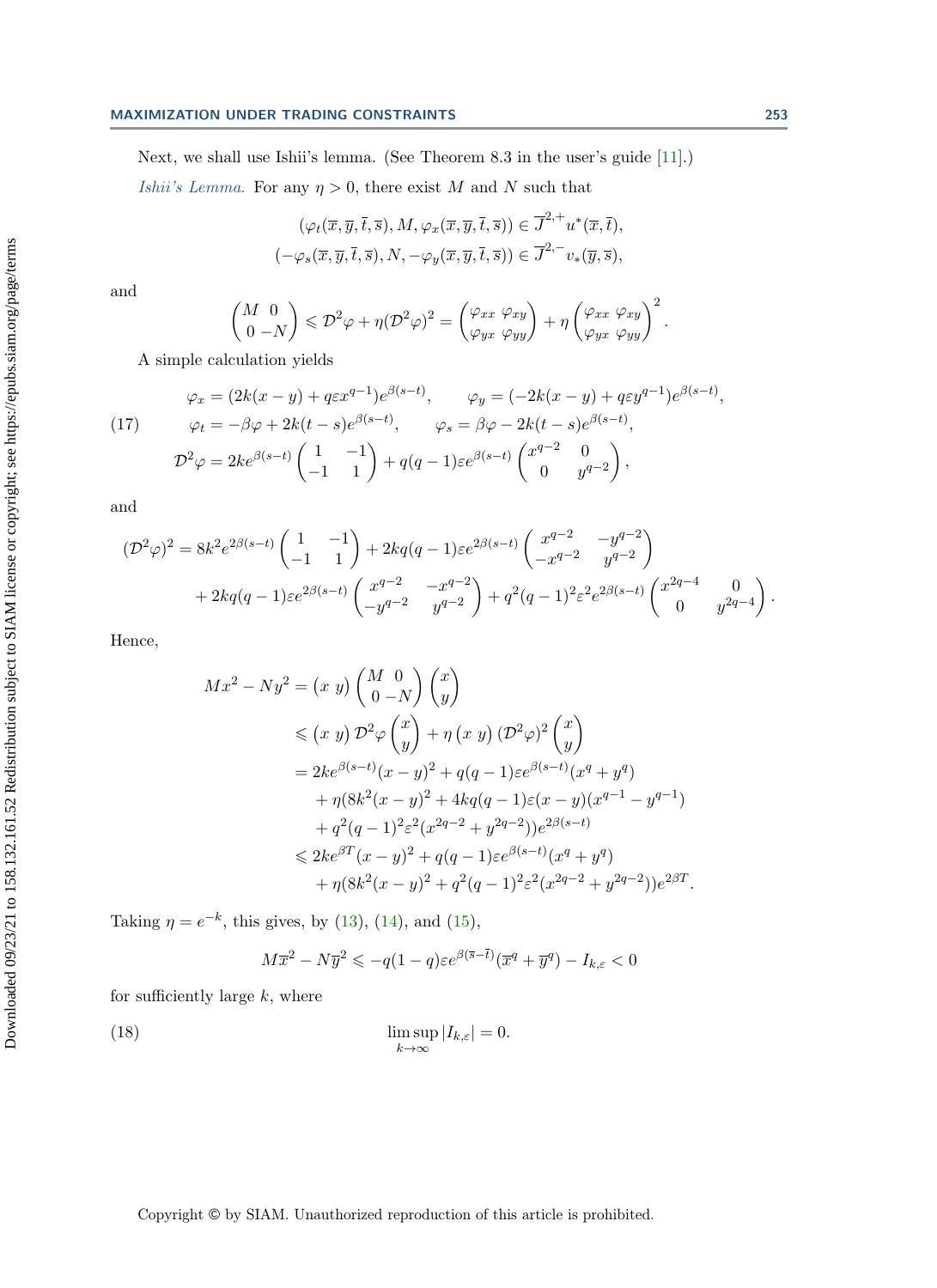## MAXIMIZATION UNDER TRADING CONSTRAINTS 253

Next, we shall use Ishii's lemma. (See Theorem 8.3 in the user's guide [\[11\]](#page-16-21).)

*Ishii's Lemma.* For any  $\eta > 0$ , there exist M and N such that

$$
(\varphi_t(\overline{x}, \overline{y}, \overline{t}, \overline{s}), M, \varphi_x(\overline{x}, \overline{y}, \overline{t}, \overline{s})) \in \overline{J}^{2,+} u^*(\overline{x}, \overline{t}),
$$
  

$$
(-\varphi_s(\overline{x}, \overline{y}, \overline{t}, \overline{s}), N, -\varphi_y(\overline{x}, \overline{y}, \overline{t}, \overline{s})) \in \overline{J}^{2,-} v_*(\overline{y}, \overline{s}),
$$

and

$$
\begin{pmatrix} M & 0 \\ 0 & -N \end{pmatrix} \leqslant \mathcal{D}^2 \varphi + \eta (\mathcal{D}^2 \varphi)^2 = \begin{pmatrix} \varphi_{xx} & \varphi_{xy} \\ \varphi_{yx} & \varphi_{yy} \end{pmatrix} + \eta \begin{pmatrix} \varphi_{xx} & \varphi_{xy} \\ \varphi_{yx} & \varphi_{yy} \end{pmatrix}^2.
$$

A simple calculation yields

<span id="page-10-0"></span>(17) 
$$
\varphi_x = (2k(x - y) + q\varepsilon x^{q-1})e^{\beta(s-t)}, \qquad \varphi_y = (-2k(x - y) + q\varepsilon y^{q-1})e^{\beta(s-t)}, \n\varphi_t = -\beta\varphi + 2k(t - s)e^{\beta(s-t)}, \qquad \varphi_s = \beta\varphi - 2k(t - s)e^{\beta(s-t)}, \n\mathcal{D}^2\varphi = 2ke^{\beta(s-t)}\begin{pmatrix} 1 & -1 \\ -1 & 1 \end{pmatrix} + q(q-1)\varepsilon e^{\beta(s-t)}\begin{pmatrix} x^{q-2} & 0 \\ 0 & y^{q-2} \end{pmatrix},
$$

and

$$
(\mathcal{D}^2 \varphi)^2 = 8k^2 e^{2\beta(s-t)} \begin{pmatrix} 1 & -1 \\ -1 & 1 \end{pmatrix} + 2kq(q-1)\varepsilon e^{2\beta(s-t)} \begin{pmatrix} x^{q-2} & -y^{q-2} \\ -x^{q-2} & y^{q-2} \end{pmatrix} + 2kq(q-1)\varepsilon e^{2\beta(s-t)} \begin{pmatrix} x^{q-2} & -x^{q-2} \\ -y^{q-2} & y^{q-2} \end{pmatrix} + q^2(q-1)^2 \varepsilon^2 e^{2\beta(s-t)} \begin{pmatrix} x^{2q-4} & 0 \\ 0 & y^{2q-4} \end{pmatrix}.
$$

Hence,

$$
Mx^{2} - Ny^{2} = (x y) {M \atop 0} {0 \atop 0} {x \atop 0} \n\le (x y) D^{2} \varphi {x \atop y} + \eta (x y) (D^{2} \varphi)^{2} {x \atop y} \n= 2ke^{\beta(s-t)}(x - y)^{2} + q(q - 1)\varepsilon e^{\beta(s-t)}(x^{q} + y^{q}) \n+ \eta(8k^{2}(x - y)^{2} + 4kq(q - 1)\varepsilon(x - y)(x^{q-1} - y^{q-1}) \n+ q^{2}(q - 1)^{2}\varepsilon^{2}(x^{2q-2} + y^{2q-2}))e^{2\beta(s-t)} \n\le 2ke^{\beta T}(x - y)^{2} + q(q - 1)\varepsilon e^{\beta(s-t)}(x^{q} + y^{q}) \n+ \eta(8k^{2}(x - y)^{2} + q^{2}(q - 1)^{2}\varepsilon^{2}(x^{2q-2} + y^{2q-2}))e^{2\beta T}.
$$

Taking  $\eta = e^{-k}$ , this gives, by [\(13\)](#page-9-2), [\(14\)](#page-9-3), and [\(15\)](#page-9-4),

$$
M\overline{x}^2 - N\overline{y}^2 \leqslant -q(1-q)\varepsilon e^{\beta(\overline{s}-\overline{t})}(\overline{x}^q + \overline{y}^q) - I_{k,\varepsilon} < 0
$$

for sufficiently large  $k$ , where

<span id="page-10-1"></span>(18) 
$$
\limsup_{k \to \infty} |I_{k,\varepsilon}| = 0.
$$

Copyright © by SIAM. Unauthorized reproduction of this article is prohibited.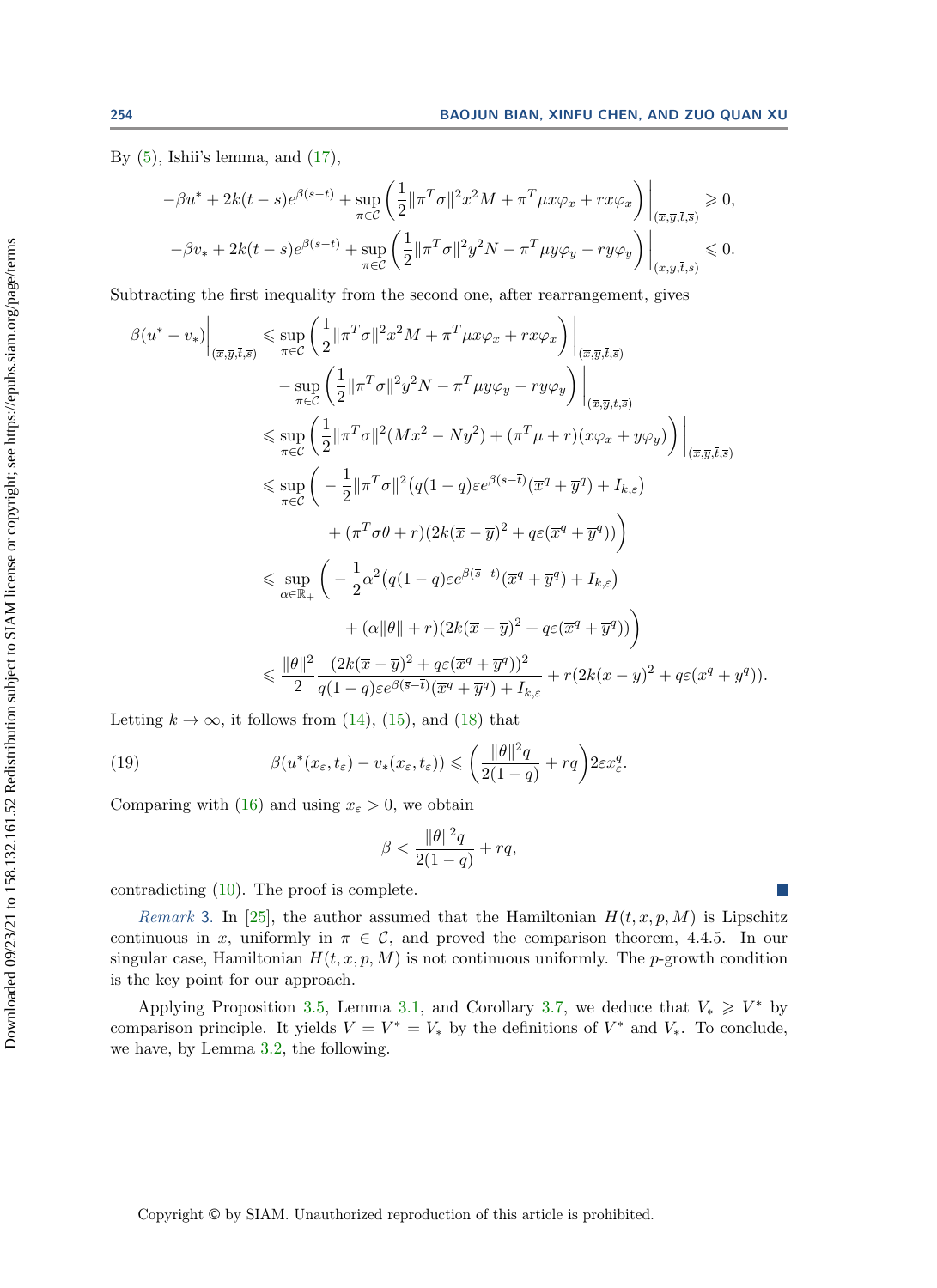$\sqrt{1}$ 

By  $(5)$ , Ishii's lemma, and  $(17)$ ,

$$
-\beta u^* + 2k(t-s)e^{\beta(s-t)} + \sup_{\pi \in \mathcal{C}} \left( \frac{1}{2} ||\pi^T \sigma||^2 x^2 M + \pi^T \mu x \varphi_x + rx \varphi_x \right) \Big|_{(\overline{x}, \overline{y}, \overline{t}, \overline{s})} \ge 0,
$$
  

$$
-\beta v_* + 2k(t-s)e^{\beta(s-t)} + \sup_{\pi \in \mathcal{C}} \left( \frac{1}{2} ||\pi^T \sigma||^2 y^2 N - \pi^T \mu y \varphi_y - ry \varphi_y \right) \Big|_{(\overline{x}, \overline{y}, \overline{t}, \overline{s})} \le 0.
$$

Subtracting the first inequality from the second one, after rearrangement, gives

$$
\beta(u^* - v_*)\Big|_{(\overline{x}, \overline{y}, \overline{t}, \overline{s})} \le \sup_{\pi \in \mathcal{C}} \left( \frac{1}{2} ||\pi^T \sigma||^2 x^2 M + \pi^T \mu x \varphi_x + r x \varphi_x \right) \Big|_{(\overline{x}, \overline{y}, \overline{t}, \overline{s})} \n- \sup_{\pi \in \mathcal{C}} \left( \frac{1}{2} ||\pi^T \sigma||^2 y^2 N - \pi^T \mu y \varphi_y - r y \varphi_y \right) \Big|_{(\overline{x}, \overline{y}, \overline{t}, \overline{s})} \n\le \sup_{\pi \in \mathcal{C}} \left( \frac{1}{2} ||\pi^T \sigma||^2 (Mx^2 - Ny^2) + (\pi^T \mu + r)(x \varphi_x + y \varphi_y) \right) \Big|_{(\overline{x}, \overline{y}, \overline{t}, \overline{s})} \n\le \sup_{\pi \in \mathcal{C}} \left( -\frac{1}{2} ||\pi^T \sigma||^2 (q(1-q)\varepsilon e^{\beta(\overline{s}-\overline{t})} (\overline{x}^q + \overline{y}^q) + I_{k,\varepsilon}) \n+ (\pi^T \sigma \theta + r)(2k(\overline{x} - \overline{y})^2 + q\varepsilon (\overline{x}^q + \overline{y}^q)) \right) \n\le \sup_{\alpha \in \mathbb{R}_+} \left( -\frac{1}{2} \alpha^2 (q(1-q)\varepsilon e^{\beta(\overline{s}-\overline{t})} (\overline{x}^q + \overline{y}^q) + I_{k,\varepsilon}) \n+ (\alpha ||\theta || + r)(2k(\overline{x} - \overline{y})^2 + q\varepsilon (\overline{x}^q + \overline{y}^q)) \right) \n\le \frac{||\theta||^2}{2} \frac{(2k(\overline{x} - \overline{y})^2 + q\varepsilon (\overline{x}^q + \overline{y}^q)) + I_{k,\varepsilon}}{q(1-q)\varepsilon e^{\beta(\overline{s}-\overline{t})} (\overline{x}^q + \overline{y}^q) + I_{k,\varepsilon}} + r(2k(\overline{x} - \overline{y})^2 + q\varepsilon (\overline{x}^q + \overline
$$

Letting  $k \to \infty$ , it follows from [\(14\)](#page-9-3), [\(15\)](#page-9-4), and [\(18\)](#page-10-1) that

(19) 
$$
\beta(u^*(x_\varepsilon,t_\varepsilon)-v_*(x_\varepsilon,t_\varepsilon))\leqslant \left(\frac{\|\theta\|^2q}{2(1-q)}+rq\right)2\varepsilon x_\varepsilon^q.
$$

Comparing with [\(16\)](#page-9-5) and using  $x_{\varepsilon} > 0$ , we obtain

$$
\beta < \frac{\|\theta\|^2 q}{2(1-q)} + rq,
$$

contradicting [\(10\)](#page-8-2). The proof is complete.

Remark 3. In [\[25\]](#page-17-7), the author assumed that the Hamiltonian  $H(t, x, p, M)$  is Lipschitz continuous in x, uniformly in  $\pi \in \mathcal{C}$ , and proved the comparison theorem, 4.4.5. In our singular case, Hamiltonian  $H(t, x, p, M)$  is not continuous uniformly. The p-growth condition is the key point for our approach.

<span id="page-11-0"></span>Applying Proposition [3.5,](#page-6-4) Lemma [3.1,](#page-4-4) and Corollary [3.7,](#page-8-3) we deduce that  $V_* \geq V^*$  by comparison principle. It yields  $V = V^* = V_*$  by the definitions of  $V^*$  and  $V_*$ . To conclude, we have, by Lemma [3.2,](#page-4-2) the following.

Downloaded 09/23/21 to 158.132.161.52 Redistribution subject to SIAM license or copyright; see https://epubs.siam.org/page/terms

Downloaded 09/23/21 to 158.132.161.52 Redistribution subject to SIAM license or copyright; see https://epubs.siam.org/page/terms

 $\mathbb{R}^n$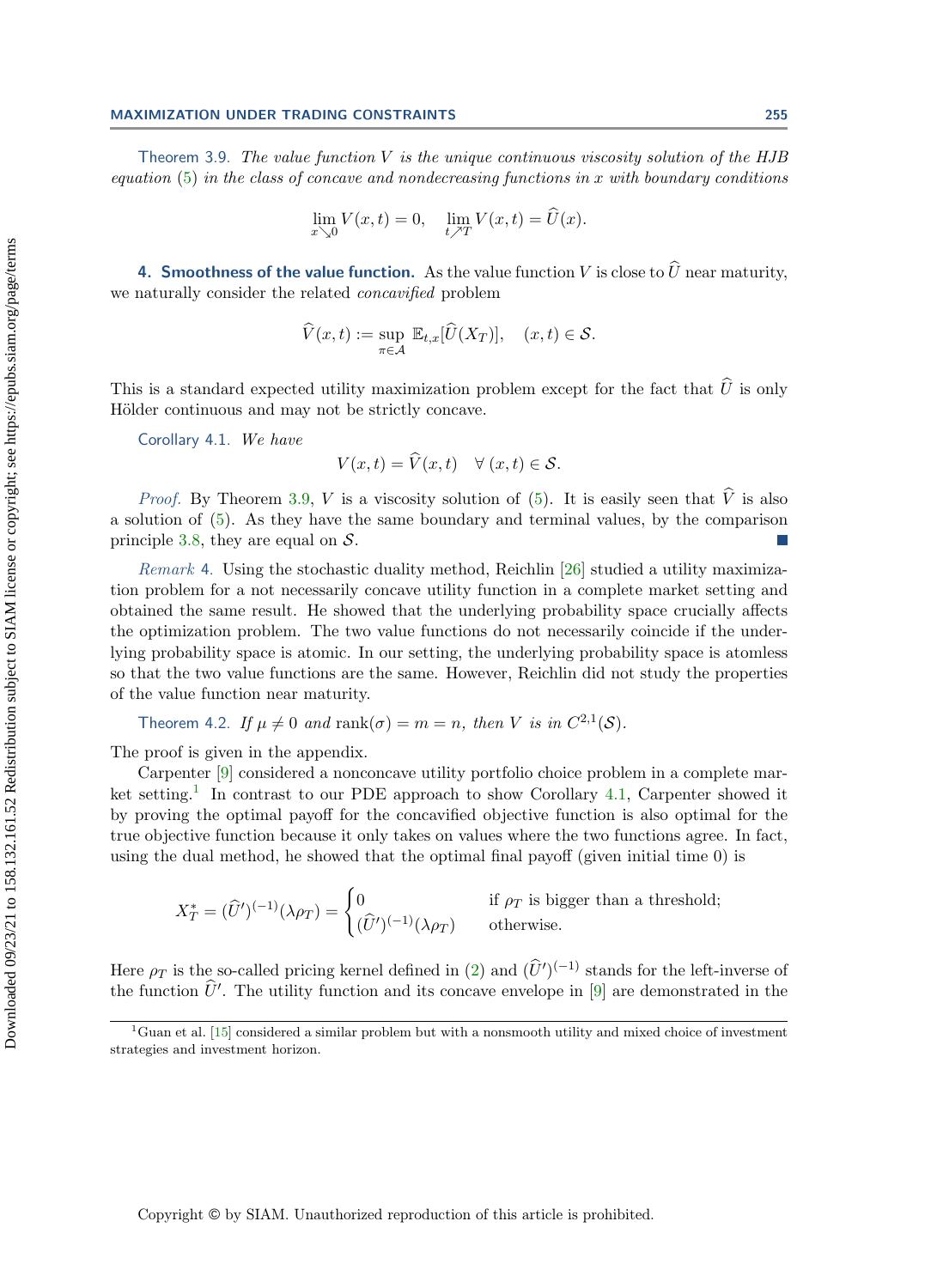### MAXIMIZATION UNDER TRADING CONSTRAINTS 255

Theorem 3.9. The value function  $V$  is the unique continuous viscosity solution of the HJB equation  $(5)$  in the class of concave and nondecreasing functions in x with boundary conditions

$$
\lim_{x \searrow 0} V(x,t) = 0, \quad \lim_{t \nearrow T} V(x,t) = \widehat{U}(x).
$$

<span id="page-12-0"></span>4. Smoothness of the value function. As the value function V is close to  $\widehat{U}$  near maturity, we naturally consider the related concavified problem

$$
\widehat{V}(x,t) := \sup_{\pi \in \mathcal{A}} \mathbb{E}_{t,x}[\widehat{U}(X_T)], \quad (x,t) \in \mathcal{S}.
$$

This is a standard expected utility maximization problem except for the fact that  $\hat{U}$  is only Hölder continuous and may not be strictly concave.

<span id="page-12-2"></span>Corollary 4.1. We have

$$
V(x,t) = \widehat{V}(x,t) \quad \forall (x,t) \in \mathcal{S}.
$$

*Proof.* By Theorem [3.9,](#page-11-0) V is a viscosity solution of [\(5\)](#page-6-0). It is easily seen that  $\hat{V}$  is also a solution of [\(5\)](#page-6-0). As they have the same boundary and terminal values, by the comparison principle [3.8,](#page-8-4) they are equal on  $S$ .

Remark 4. Using the stochastic duality method, Reichlin [\[26\]](#page-17-3) studied a utility maximization problem for a not necessarily concave utility function in a complete market setting and obtained the same result. He showed that the underlying probability space crucially affects the optimization problem. The two value functions do not necessarily coincide if the underlying probability space is atomic. In our setting, the underlying probability space is atomless so that the two value functions are the same. However, Reichlin did not study the properties of the value function near maturity.

<span id="page-12-3"></span>Theorem 4.2. If 
$$
\mu \neq 0
$$
 and  $\text{rank}(\sigma) = m = n$ , then V is in  $C^{2,1}(\mathcal{S})$ .

The proof is given in the appendix.

Carpenter [\[9\]](#page-16-14) considered a nonconcave utility portfolio choice problem in a complete mar-ket setting.<sup>[1](#page-12-1)</sup> In contrast to our PDE approach to show Corollary [4.1,](#page-12-2) Carpenter showed it by proving the optimal payoff for the concavified objective function is also optimal for the true objective function because it only takes on values where the two functions agree. In fact, using the dual method, he showed that the optimal final payoff (given initial time 0) is

$$
X_T^* = (\widehat{U}')^{(-1)}(\lambda \rho_T) = \begin{cases} 0 & \text{if } \rho_T \text{ is bigger than a threshold;} \\ (\widehat{U}')^{(-1)}(\lambda \rho_T) & \text{otherwise.} \end{cases}
$$

Here  $\rho_T$  is the so-called pricing kernel defined in [\(2\)](#page-4-5) and  $(\hat{U}')^{(-1)}$  stands for the left-inverse of the function  $\hat{U}'$ . The utility function and its concave envelope in [\[9\]](#page-16-14) are demonstrated in the

<span id="page-12-1"></span> $1_G$ uan et al. [\[15\]](#page-16-22) considered a similar problem but with a nonsmooth utility and mixed choice of investment strategies and investment horizon.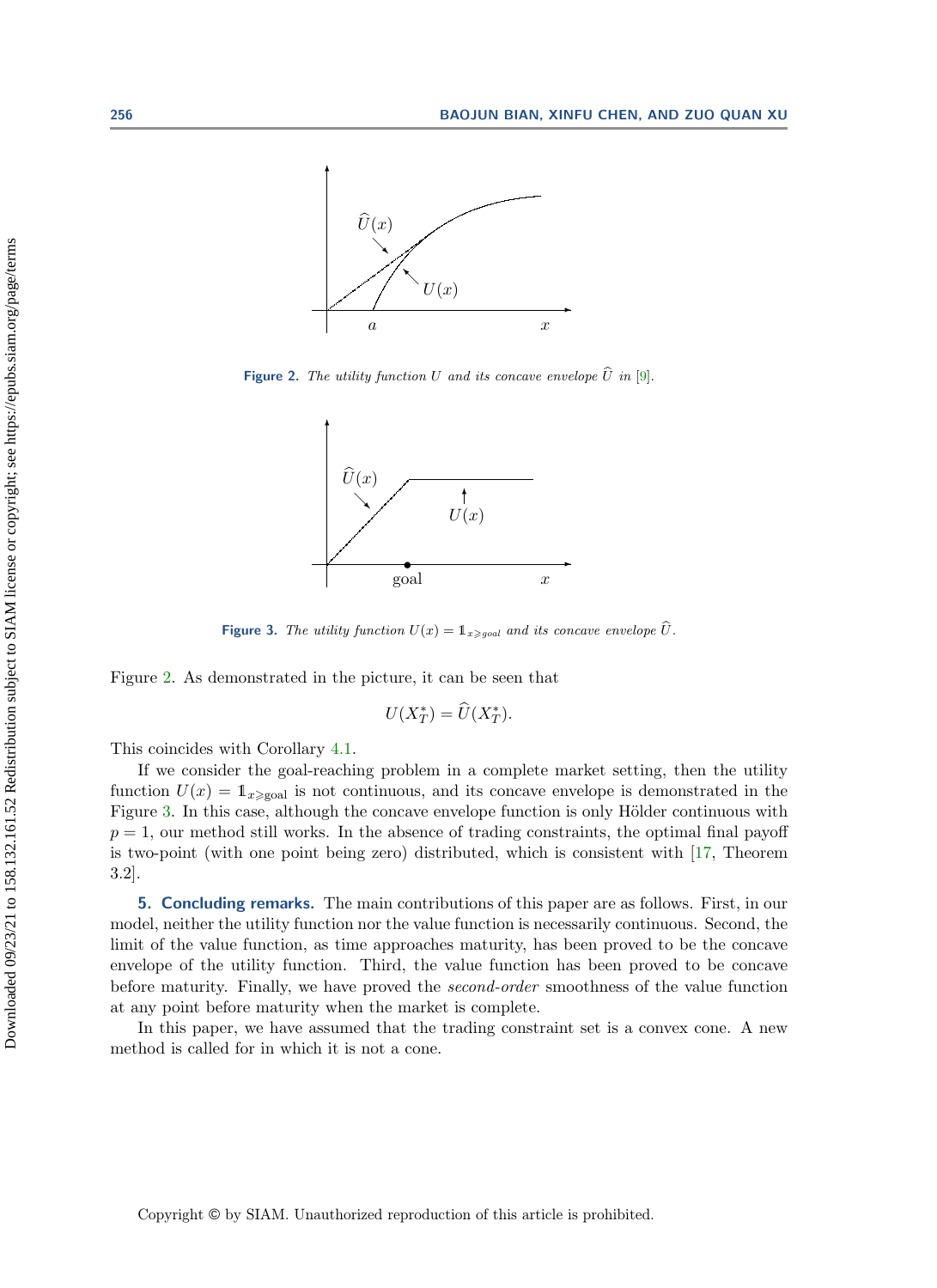<span id="page-13-1"></span>

<span id="page-13-2"></span>Figure 2. The utility function U and its concave envelope  $\widehat{U}$  in [\[9\]](#page-16-14).



**Figure 3.** The utility function  $U(x) = \mathbb{1}_{x \geq q_{\text{ood}}}$  and its concave envelope  $\widehat{U}$ .

Figure [2.](#page-13-1) As demonstrated in the picture, it can be seen that

$$
U(X_T^*) = \widehat{U}(X_T^*).
$$

This coincides with Corollary [4.1.](#page-12-2)

If we consider the goal-reaching problem in a complete market setting, then the utility function  $U(x) = \mathbb{1}_{x \ge 0}$  is not continuous, and its concave envelope is demonstrated in the Figure [3.](#page-13-2) In this case, although the concave envelope function is only Hölder continuous with  $p = 1$ , our method still works. In the absence of trading constraints, the optimal final payoff is two-point (with one point being zero) distributed, which is consistent with [\[17,](#page-16-18) Theorem 3.2].

<span id="page-13-0"></span>5. Concluding remarks. The main contributions of this paper are as follows. First, in our model, neither the utility function nor the value function is necessarily continuous. Second, the limit of the value function, as time approaches maturity, has been proved to be the concave envelope of the utility function. Third, the value function has been proved to be concave before maturity. Finally, we have proved the second-order smoothness of the value function at any point before maturity when the market is complete.

In this paper, we have assumed that the trading constraint set is a convex cone. A new method is called for in which it is not a cone.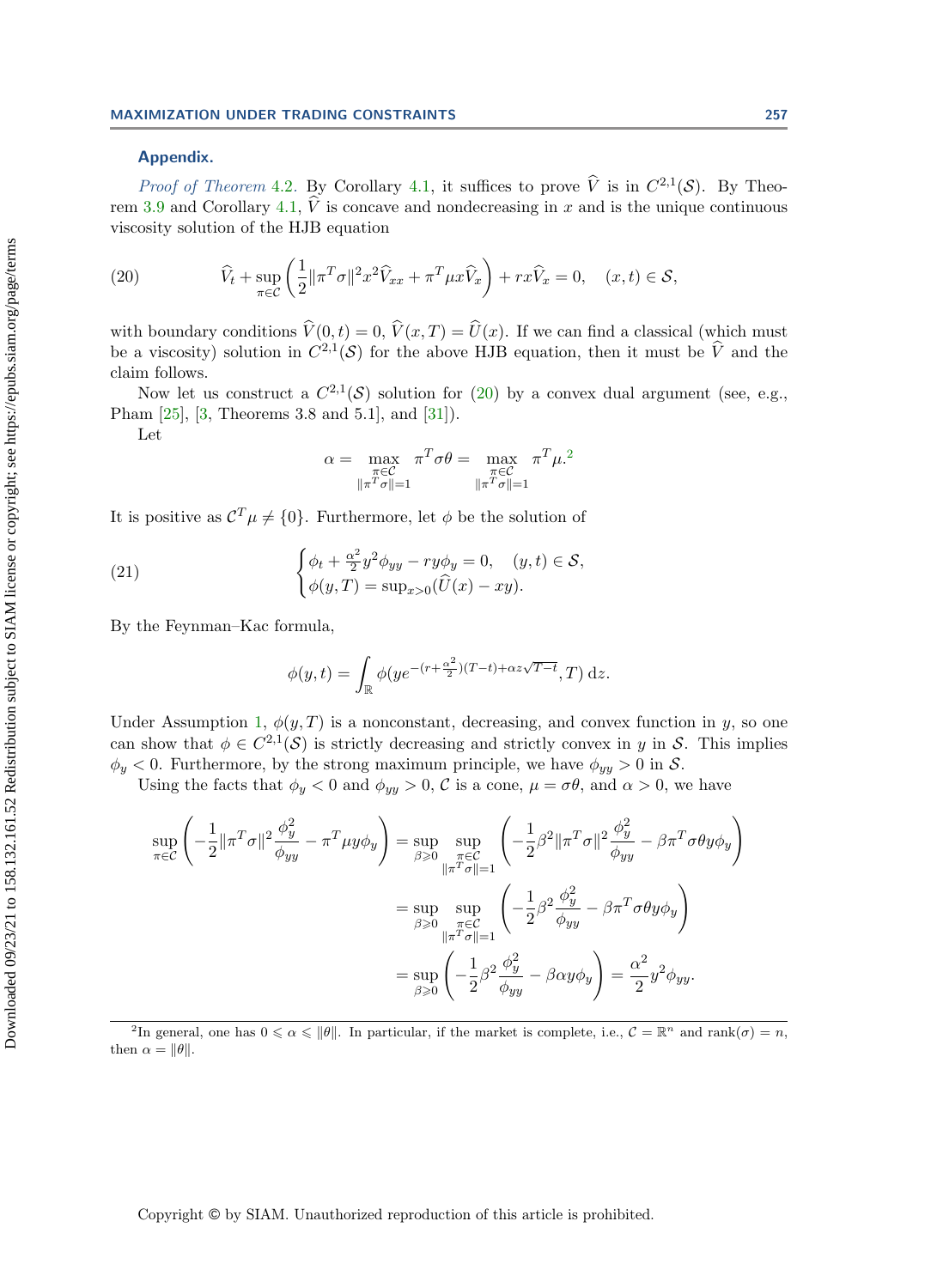### Appendix.

*Proof of Theorem [4.2](#page-12-3).* By Corollary [4.1,](#page-12-2) it suffices to prove  $\hat{V}$  is in  $C^{2,1}(\mathcal{S})$ . By Theo-rem [3.9](#page-11-0) and Corollary [4.1,](#page-12-2)  $\hat{V}$  is concave and nondecreasing in x and is the unique continuous viscosity solution of the HJB equation

<span id="page-14-0"></span>(20) 
$$
\widehat{V}_t + \sup_{\pi \in \mathcal{C}} \left( \frac{1}{2} ||\pi^T \sigma||^2 x^2 \widehat{V}_{xx} + \pi^T \mu x \widehat{V}_x \right) + r x \widehat{V}_x = 0, \quad (x, t) \in \mathcal{S},
$$

with boundary conditions  $\hat{V}(0, t) = 0$ ,  $\hat{V}(x, T) = \hat{U}(x)$ . If we can find a classical (which must be a viscosity) solution in  $C^{2,1}(\mathcal{S})$  for the above HJB equation, then it must be  $\hat{V}$  and the claim follows.

Now let us construct a  $C^{2,1}(\mathcal{S})$  solution for [\(20\)](#page-14-0) by a convex dual argument (see, e.g., Pham [\[25\]](#page-17-7), [\[3,](#page-16-6) Theorems 3.8 and 5.1], and [\[31\]](#page-17-8)).

Let

$$
\alpha = \max_{\substack{\pi \in \mathcal{C} \\ \|\pi^T \sigma\| = 1}} \pi^T \sigma \theta = \max_{\substack{\pi \in \mathcal{C} \\ \|\pi^T \sigma\| = 1}} \pi^T \mu^{2}
$$

It is positive as  $C^T \mu \neq \{0\}$ . Furthermore, let  $\phi$  be the solution of

(21) 
$$
\begin{cases} \phi_t + \frac{\alpha^2}{2} y^2 \phi_{yy} - r y \phi_y = 0, \quad (y, t) \in \mathcal{S}, \\ \phi(y, T) = \sup_{x > 0} (\widehat{U}(x) - xy). \end{cases}
$$

By the Feynman–Kac formula,

$$
\phi(y,t) = \int_{\mathbb{R}} \phi(ye^{-(r+\frac{\alpha^2}{2})(T-t)+\alpha z\sqrt{T-t}},T) \,\mathrm{d}z.
$$

Under Assumption [1,](#page-3-0)  $\phi(y, T)$  is a nonconstant, decreasing, and convex function in y, so one can show that  $\phi \in C^{2,1}(\mathcal{S})$  is strictly decreasing and strictly convex in y in S. This implies  $\phi_y < 0$ . Furthermore, by the strong maximum principle, we have  $\phi_{yy} > 0$  in S.

Using the facts that  $\phi_y < 0$  and  $\phi_{yy} > 0$ , C is a cone,  $\mu = \sigma \theta$ , and  $\alpha > 0$ , we have

$$
\sup_{\pi \in \mathcal{C}} \left( -\frac{1}{2} \|\pi^T \sigma\|^2 \frac{\phi_y^2}{\phi_{yy}} - \pi^T \mu y \phi_y \right) = \sup_{\beta \ge 0} \sup_{\substack{\pi \in \mathcal{C} \\ \|\pi^T \sigma\| = 1}} \left( -\frac{1}{2} \beta^2 \|\pi^T \sigma\|^2 \frac{\phi_y^2}{\phi_{yy}} - \beta \pi^T \sigma \theta y \phi_y \right)
$$

$$
= \sup_{\beta \ge 0} \sup_{\substack{\pi \in \mathcal{C} \\ \|\pi^T \sigma\| = 1}} \left( -\frac{1}{2} \beta^2 \frac{\phi_y^2}{\phi_{yy}} - \beta \pi^T \sigma \theta y \phi_y \right)
$$

$$
= \sup_{\beta \ge 0} \left( -\frac{1}{2} \beta^2 \frac{\phi_y^2}{\phi_{yy}} - \beta \alpha y \phi_y \right) = \frac{\alpha^2}{2} y^2 \phi_{yy}.
$$

<span id="page-14-1"></span><sup>2</sup>In general, one has  $0 \le \alpha \le ||\theta||$ . In particular, if the market is complete, i.e.,  $\mathcal{C} = \mathbb{R}^n$  and rank $(\sigma) = n$ , then  $\alpha = ||\theta||$ .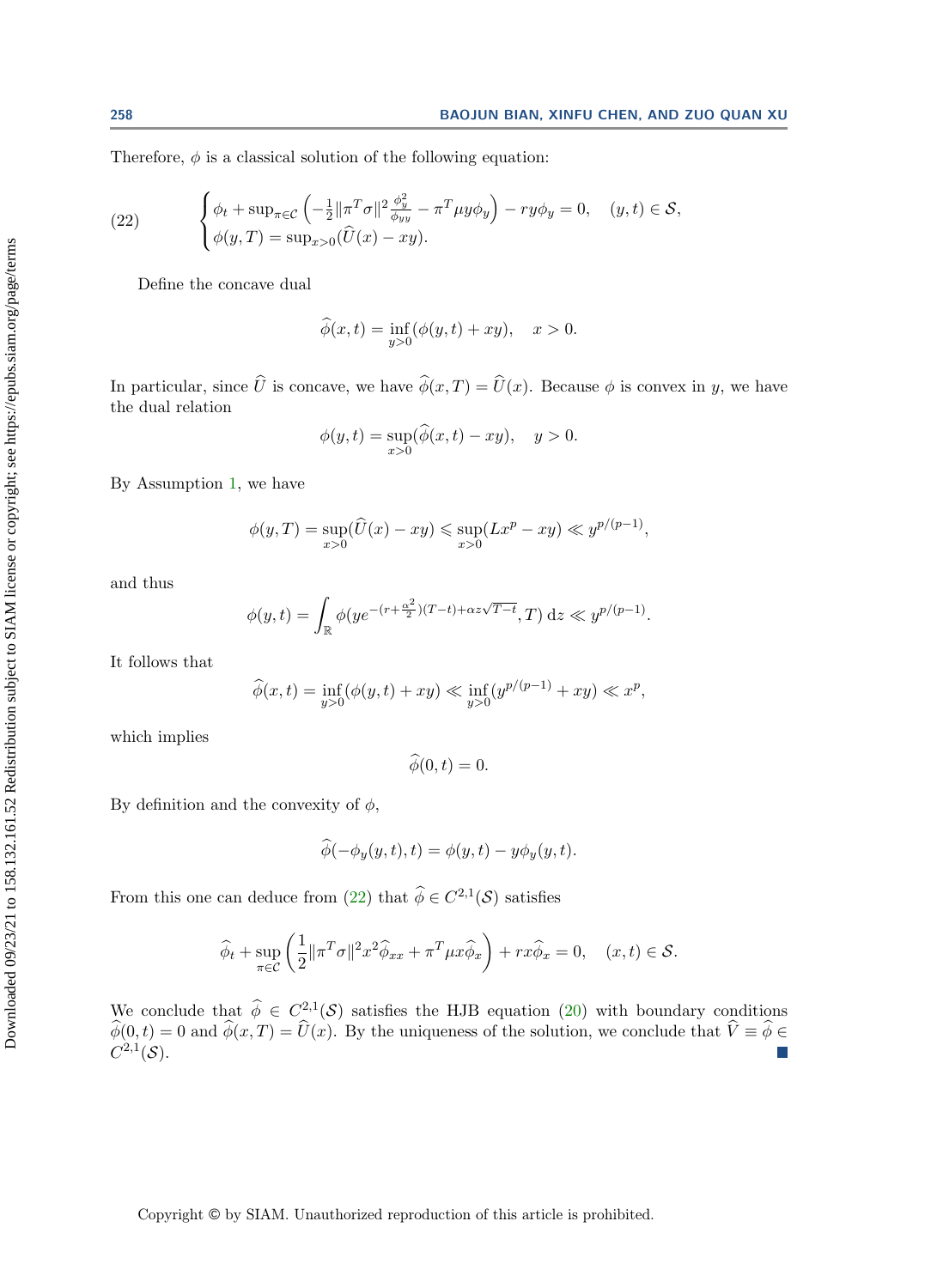Therefore,  $\phi$  is a classical solution of the following equation:

<span id="page-15-0"></span>(22) 
$$
\begin{cases} \phi_t + \sup_{\pi \in \mathcal{C}} \left( -\frac{1}{2} ||\pi^T \sigma||^2 \frac{\phi_y^2}{\phi_{yy}} - \pi^T \mu y \phi_y \right) - r y \phi_y = 0, \quad (y, t) \in \mathcal{S}, \\ \phi(y, T) = \sup_{x > 0} (\widehat{U}(x) - xy). \end{cases}
$$

Define the concave dual

$$
\widehat{\phi}(x,t) = \inf_{y>0} (\phi(y,t) + xy), \quad x > 0.
$$

In particular, since  $\hat{U}$  is concave, we have  $\hat{\phi}(x, T) = \hat{U}(x)$ . Because  $\phi$  is convex in y, we have the dual relation

$$
\phi(y,t) = \sup_{x>0} (\widehat{\phi}(x,t) - xy), \quad y > 0.
$$

By Assumption [1,](#page-3-0) we have

$$
\phi(y,T) = \sup_{x>0} (\widehat{U}(x) - xy) \le \sup_{x>0} (Lx^p - xy) \ll y^{p/(p-1)},
$$

and thus

$$
\phi(y,t) = \int_{\mathbb{R}} \phi(ye^{-(r+\frac{\alpha^2}{2})(T-t)+\alpha z\sqrt{T-t}},T) dz \ll y^{p/(p-1)}.
$$

It follows that

$$
\widehat{\phi}(x,t) = \inf_{y>0} (\phi(y,t) + xy) \ll \inf_{y>0} (y^{p/(p-1)} + xy) \ll x^p,
$$

which implies

$$
\phi(0,t)=0.
$$

By definition and the convexity of  $\phi$ ,

$$
\widehat{\phi}(-\phi_y(y,t),t) = \phi(y,t) - y\phi_y(y,t).
$$

From this one can deduce from [\(22\)](#page-15-0) that  $\widehat{\phi} \in C^{2,1}(\mathcal{S})$  satisfies

$$
\widehat{\phi}_t + \sup_{\pi \in \mathcal{C}} \left( \frac{1}{2} \| \pi^T \sigma \|^2 x^2 \widehat{\phi}_{xx} + \pi^T \mu x \widehat{\phi}_x \right) + r x \widehat{\phi}_x = 0, \quad (x, t) \in \mathcal{S}.
$$

We conclude that  $\hat{\phi} \in C^{2,1}(\mathcal{S})$  satisfies the HJB equation [\(20\)](#page-14-0) with boundary conditions  $\hat{\phi}(0, t) = 0$  and  $\hat{\phi}(x, T) = \hat{U}(x)$ . By the uniqueness of the solution, we conclude that  $\hat{V} \equiv \hat{\phi} \in C^{2,1}(\mathcal{S})$ .  $C^{2,1}(\mathcal{S})$ .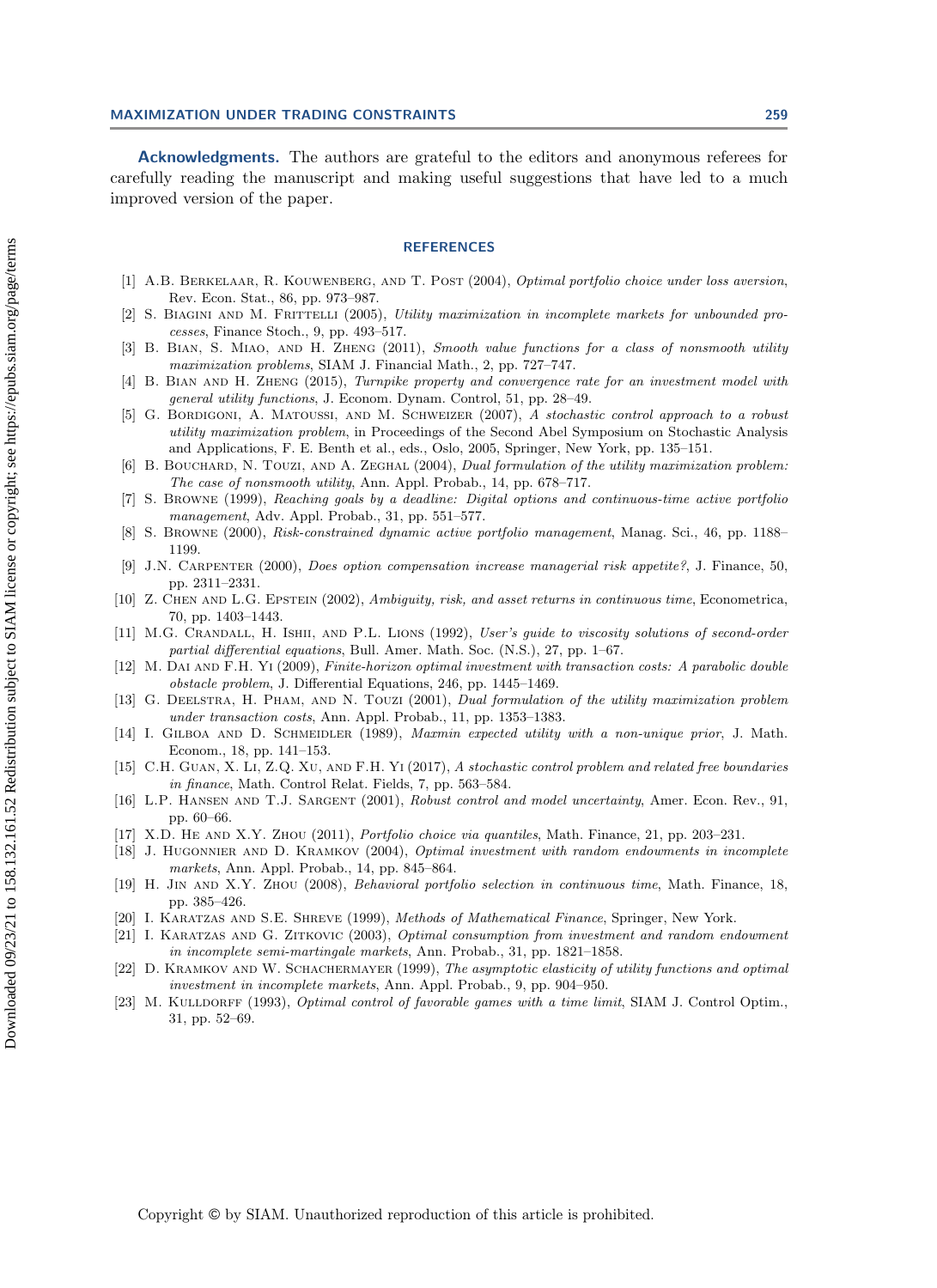Acknowledgments. The authors are grateful to the editors and anonymous referees for carefully reading the manuscript and making useful suggestions that have led to a much improved version of the paper.

#### **REFERENCES**

- <span id="page-16-13"></span>[1] A.B. Berkelaar, R. Kouwenberg, and T. Post (2004), Optimal portfolio choice under loss aversion, Rev. Econ. Stat., 86, pp. 973–987.
- <span id="page-16-3"></span>[2] S. BIAGINI AND M. FRITTELLI (2005), Utility maximization in incomplete markets for unbounded processes, Finance Stoch., 9, pp. 493–517.
- <span id="page-16-6"></span>[3] B. Bian, S. Miao, and H. Zheng (2011), Smooth value functions for a class of nonsmooth utility maximization problems, SIAM J. Financial Math., 2, pp. 727–747.
- <span id="page-16-4"></span>[4] B. Bian and H. Zheng (2015), Turnpike property and convergence rate for an investment model with general utility functions, J. Econom. Dynam. Control, 51, pp. 28–49.
- <span id="page-16-12"></span>[5] G. BORDIGONI, A. MATOUSSI, AND M. SCHWEIZER (2007), A stochastic control approach to a robust utility maximization problem, in Proceedings of the Second Abel Symposium on Stochastic Analysis and Applications, F. E. Benth et al., eds., Oslo, 2005, Springer, New York, pp. 135–151.
- <span id="page-16-5"></span>[6] B. BOUCHARD, N. TOUZI, AND A. ZEGHAL (2004), Dual formulation of the utility maximization problem: The case of nonsmooth utility, Ann. Appl. Probab., 14, pp. 678–717.
- <span id="page-16-16"></span>[7] S. Browne (1999), Reaching goals by a deadline: Digital options and continuous-time active portfolio management, Adv. Appl. Probab., 31, pp. 551–577.
- <span id="page-16-17"></span>[8] S. Browne (2000), Risk-constrained dynamic active portfolio management, Manag. Sci., 46, pp. 1188– 1199.
- <span id="page-16-14"></span>[9] J.N. Carpenter (2000), Does option compensation increase managerial risk appetite?, J. Finance, 50, pp. 2311–2331.
- <span id="page-16-11"></span>[10] Z. CHEN AND L.G. EPSTEIN (2002), Ambiguity, risk, and asset returns in continuous time, Econometrica, 70, pp. 1403–1443.
- <span id="page-16-21"></span>[11] M.G. Crandall, H. Ishii, and P.L. Lions (1992), User's guide to viscosity solutions of second-order partial differential equations, Bull. Amer. Math. Soc. (N.S.), 27, pp. 1–67.
- <span id="page-16-8"></span>[12] M. Dai and F.H. Yi (2009), Finite-horizon optimal investment with transaction costs: A parabolic double obstacle problem, J. Differential Equations, 246, pp. 1445–1469.
- <span id="page-16-7"></span>[13] G. DEELSTRA, H. PHAM, AND N. TOUZI (2001), Dual formulation of the utility maximization problem under transaction costs, Ann. Appl. Probab., 11, pp. 1353–1383.
- <span id="page-16-9"></span>[14] I. GILBOA AND D. SCHMEIDLER (1989), Maxmin expected utility with a non-unique prior, J. Math. Econom., 18, pp. 141–153.
- <span id="page-16-22"></span>[15] C.H. GUAN, X. LI, Z.Q. XU, AND F.H. Yi (2017), A stochastic control problem and related free boundaries in finance, Math. Control Relat. Fields, 7, pp. 563–584.
- <span id="page-16-10"></span>[16] L.P. HANSEN AND T.J. SARGENT (2001), Robust control and model uncertainty, Amer. Econ. Rev., 91, pp. 60–66.
- <span id="page-16-18"></span>[17] X.D. HE AND X.Y. ZHOU (2011), Portfolio choice via quantiles, Math. Finance, 21, pp. 203-231.
- <span id="page-16-2"></span>[18] J. HUGONNIER AND D. KRAMKOV (2004), Optimal investment with random endowments in incomplete markets, Ann. Appl. Probab., 14, pp. 845–864.
- <span id="page-16-19"></span>[19] H. Jin and X.Y. Zhou (2008), Behavioral portfolio selection in continuous time, Math. Finance, 18, pp. 385–426.
- <span id="page-16-20"></span>[20] I. Karatzas and S.E. Shreve (1999), Methods of Mathematical Finance, Springer, New York.
- <span id="page-16-0"></span>[21] I. Karatzas and G. Zitkovic (2003), Optimal consumption from investment and random endowment in incomplete semi-martingale markets, Ann. Probab., 31, pp. 1821–1858.
- <span id="page-16-1"></span>[22] D. KRAMKOV AND W. SCHACHERMAYER (1999), The asymptotic elasticity of utility functions and optimal investment in incomplete markets, Ann. Appl. Probab., 9, pp. 904–950.
- <span id="page-16-15"></span>[23] M. KULLDORFF (1993), Optimal control of favorable games with a time limit, SIAM J. Control Optim., 31, pp. 52–69.